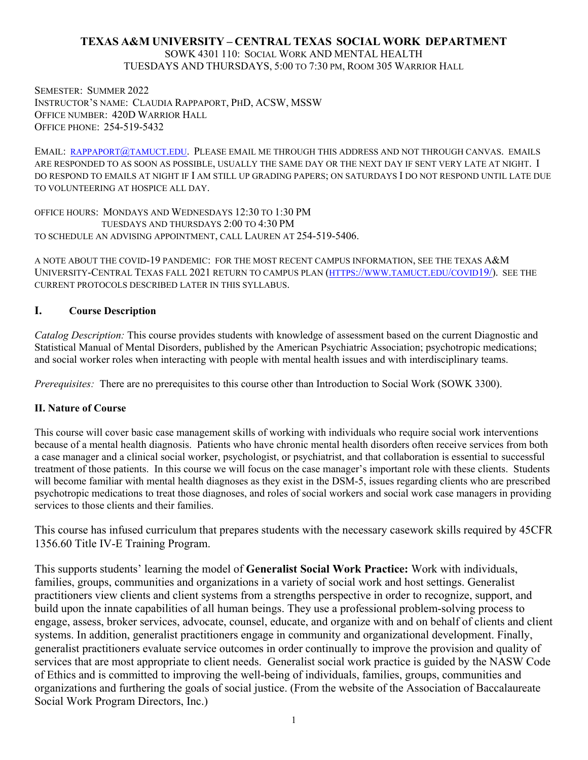# **TEXAS A&M UNIVERSITY – CENTRAL TEXAS SOCIAL WORK DEPARTMENT**

SOWK 4301 110: SOCIAL WORK AND MENTAL HEALTH TUESDAYS AND THURSDAYS, 5:00 TO 7:30 PM, ROOM 305 WARRIOR HALL

SEMESTER: SUMMER 2022 INSTRUCTOR'S NAME: CLAUDIA RAPPAPORT, PHD, ACSW, MSSW OFFICE NUMBER: 420D WARRIOR HALL OFFICE PHONE: 254-519-5432

EMAIL: [RAPPAPORT@TAMUCT.EDU.](mailto:rappaport@tamuct.edu) PLEASE EMAIL ME THROUGH THIS ADDRESS AND NOT THROUGH CANVAS. EMAILS ARE RESPONDED TO AS SOON AS POSSIBLE, USUALLY THE SAME DAY OR THE NEXT DAY IF SENT VERY LATE AT NIGHT. I DO RESPOND TO EMAILS AT NIGHT IF I AM STILL UP GRADING PAPERS; ON SATURDAYS I DO NOT RESPOND UNTIL LATE DUE TO VOLUNTEERING AT HOSPICE ALL DAY.

OFFICE HOURS: MONDAYS AND WEDNESDAYS 12:30 TO 1:30 PM TUESDAYS AND THURSDAYS 2:00 TO 4:30 PM TO SCHEDULE AN ADVISING APPOINTMENT, CALL LAUREN AT 254-519-5406.

A NOTE ABOUT THE COVID-19 PANDEMIC: FOR THE MOST RECENT CAMPUS INFORMATION, SEE THE TEXAS A&M UNIVERSITY-CENTRAL TEXAS FALL 2021 RETURN TO CAMPUS PLAN [\(HTTPS://WWW.TAMUCT.EDU/COVID19/\)](https://www.tamuct.edu/covid19/). SEE THE CURRENT PROTOCOLS DESCRIBED LATER IN THIS SYLLABUS.

### **I. Course Description**

*Catalog Description:* This course provides students with knowledge of assessment based on the current Diagnostic and Statistical Manual of Mental Disorders, published by the American Psychiatric Association; psychotropic medications; and social worker roles when interacting with people with mental health issues and with interdisciplinary teams.

*Prerequisites:* There are no prerequisites to this course other than Introduction to Social Work (SOWK 3300).

### **II. Nature of Course**

This course will cover basic case management skills of working with individuals who require social work interventions because of a mental health diagnosis. Patients who have chronic mental health disorders often receive services from both a case manager and a clinical social worker, psychologist, or psychiatrist, and that collaboration is essential to successful treatment of those patients. In this course we will focus on the case manager's important role with these clients. Students will become familiar with mental health diagnoses as they exist in the DSM-5, issues regarding clients who are prescribed psychotropic medications to treat those diagnoses, and roles of social workers and social work case managers in providing services to those clients and their families.

This course has infused curriculum that prepares students with the necessary casework skills required by 45CFR 1356.60 Title IV-E Training Program.

This supports students' learning the model of **Generalist Social Work Practice:** Work with individuals, families, groups, communities and organizations in a variety of social work and host settings. Generalist practitioners view clients and client systems from a strengths perspective in order to recognize, support, and build upon the innate capabilities of all human beings. They use a professional problem-solving process to engage, assess, broker services, advocate, counsel, educate, and organize with and on behalf of clients and client systems. In addition, generalist practitioners engage in community and organizational development. Finally, generalist practitioners evaluate service outcomes in order continually to improve the provision and quality of services that are most appropriate to client needs. Generalist social work practice is guided by the NASW Code of Ethics and is committed to improving the well-being of individuals, families, groups, communities and organizations and furthering the goals of social justice. (From the website of the Association of Baccalaureate Social Work Program Directors, Inc.)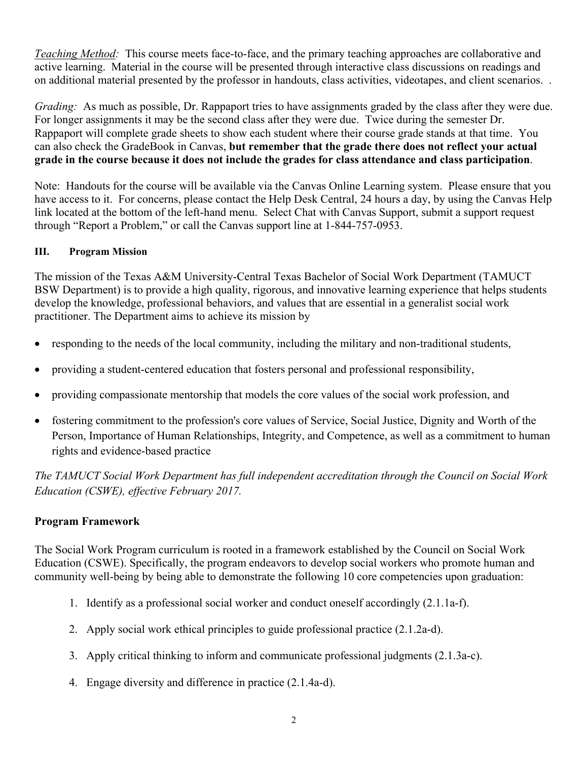*Teaching Method:* This course meets face-to-face, and the primary teaching approaches are collaborative and active learning. Material in the course will be presented through interactive class discussions on readings and on additional material presented by the professor in handouts, class activities, videotapes, and client scenarios. .

*Grading:* As much as possible, Dr. Rappaport tries to have assignments graded by the class after they were due. For longer assignments it may be the second class after they were due. Twice during the semester Dr. Rappaport will complete grade sheets to show each student where their course grade stands at that time. You can also check the GradeBook in Canvas, **but remember that the grade there does not reflect your actual grade in the course because it does not include the grades for class attendance and class participation**.

Note: Handouts for the course will be available via the Canvas Online Learning system. Please ensure that you have access to it. For concerns, please contact the Help Desk Central, 24 hours a day, by using the Canvas Help link located at the bottom of the left-hand menu. Select Chat with Canvas Support, submit a support request through "Report a Problem," or call the Canvas support line at 1-844-757-0953.

# **III. Program Mission**

The mission of the Texas A&M University-Central Texas Bachelor of Social Work Department (TAMUCT BSW Department) is to provide a high quality, rigorous, and innovative learning experience that helps students develop the knowledge, professional behaviors, and values that are essential in a generalist social work practitioner. The Department aims to achieve its mission by

- responding to the needs of the local community, including the military and non-traditional students,
- providing a student-centered education that fosters personal and professional responsibility,
- providing compassionate mentorship that models the core values of the social work profession, and
- fostering commitment to the profession's core values of Service, Social Justice, Dignity and Worth of the Person, Importance of Human Relationships, Integrity, and Competence, as well as a commitment to human rights and evidence-based practice

*The TAMUCT Social Work Department has full independent accreditation through the Council on Social Work Education (CSWE), effective February 2017.*

# **Program Framework**

The Social Work Program curriculum is rooted in a framework established by the Council on Social Work Education (CSWE). Specifically, the program endeavors to develop social workers who promote human and community well-being by being able to demonstrate the following 10 core competencies upon graduation:

- 1. Identify as a professional social worker and conduct oneself accordingly (2.1.1a-f).
- 2. Apply social work ethical principles to guide professional practice (2.1.2a-d).
- 3. Apply critical thinking to inform and communicate professional judgments (2.1.3a-c).
- 4. Engage diversity and difference in practice (2.1.4a-d).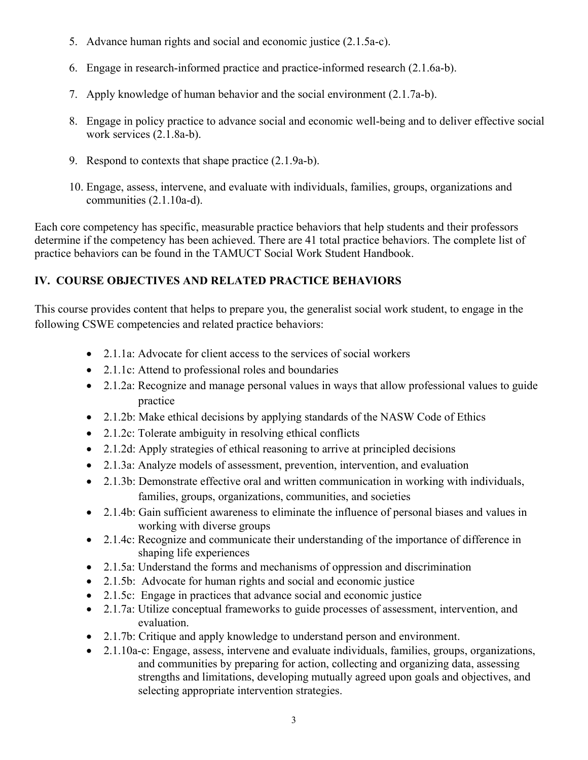- 5. Advance human rights and social and economic justice (2.1.5a-c).
- 6. Engage in research-informed practice and practice-informed research (2.1.6a-b).
- 7. Apply knowledge of human behavior and the social environment (2.1.7a-b).
- 8. Engage in policy practice to advance social and economic well-being and to deliver effective social work services (2.1.8a-b).
- 9. Respond to contexts that shape practice (2.1.9a-b).
- 10. Engage, assess, intervene, and evaluate with individuals, families, groups, organizations and communities (2.1.10a-d).

Each core competency has specific, measurable practice behaviors that help students and their professors determine if the competency has been achieved. There are 41 total practice behaviors. The complete list of practice behaviors can be found in the TAMUCT Social Work Student Handbook.

# **IV. COURSE OBJECTIVES AND RELATED PRACTICE BEHAVIORS**

This course provides content that helps to prepare you, the generalist social work student, to engage in the following CSWE competencies and related practice behaviors:

- 2.1.1a: Advocate for client access to the services of social workers
- 2.1.1c: Attend to professional roles and boundaries
- 2.1.2a: Recognize and manage personal values in ways that allow professional values to guide practice
- 2.1.2b: Make ethical decisions by applying standards of the NASW Code of Ethics
- 2.1.2c: Tolerate ambiguity in resolving ethical conflicts
- 2.1.2d: Apply strategies of ethical reasoning to arrive at principled decisions
- 2.1.3a: Analyze models of assessment, prevention, intervention, and evaluation
- 2.1.3b: Demonstrate effective oral and written communication in working with individuals, families, groups, organizations, communities, and societies
- 2.1.4b: Gain sufficient awareness to eliminate the influence of personal biases and values in working with diverse groups
- 2.1.4c: Recognize and communicate their understanding of the importance of difference in shaping life experiences
- 2.1.5a: Understand the forms and mechanisms of oppression and discrimination
- 2.1.5b: Advocate for human rights and social and economic justice
- 2.1.5c: Engage in practices that advance social and economic justice
- 2.1.7a: Utilize conceptual frameworks to guide processes of assessment, intervention, and evaluation.
- 2.1.7b: Critique and apply knowledge to understand person and environment.
- 2.1.10a-c: Engage, assess, intervene and evaluate individuals, families, groups, organizations, and communities by preparing for action, collecting and organizing data, assessing strengths and limitations, developing mutually agreed upon goals and objectives, and selecting appropriate intervention strategies.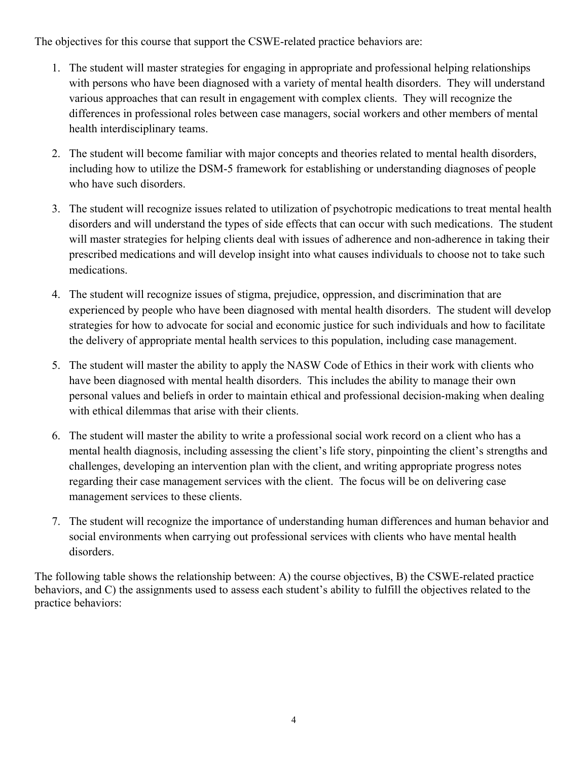The objectives for this course that support the CSWE-related practice behaviors are:

- 1. The student will master strategies for engaging in appropriate and professional helping relationships with persons who have been diagnosed with a variety of mental health disorders. They will understand various approaches that can result in engagement with complex clients. They will recognize the differences in professional roles between case managers, social workers and other members of mental health interdisciplinary teams.
- 2. The student will become familiar with major concepts and theories related to mental health disorders, including how to utilize the DSM-5 framework for establishing or understanding diagnoses of people who have such disorders.
- 3. The student will recognize issues related to utilization of psychotropic medications to treat mental health disorders and will understand the types of side effects that can occur with such medications. The student will master strategies for helping clients deal with issues of adherence and non-adherence in taking their prescribed medications and will develop insight into what causes individuals to choose not to take such medications.
- 4. The student will recognize issues of stigma, prejudice, oppression, and discrimination that are experienced by people who have been diagnosed with mental health disorders. The student will develop strategies for how to advocate for social and economic justice for such individuals and how to facilitate the delivery of appropriate mental health services to this population, including case management.
- 5. The student will master the ability to apply the NASW Code of Ethics in their work with clients who have been diagnosed with mental health disorders. This includes the ability to manage their own personal values and beliefs in order to maintain ethical and professional decision-making when dealing with ethical dilemmas that arise with their clients.
- 6. The student will master the ability to write a professional social work record on a client who has a mental health diagnosis, including assessing the client's life story, pinpointing the client's strengths and challenges, developing an intervention plan with the client, and writing appropriate progress notes regarding their case management services with the client. The focus will be on delivering case management services to these clients.
- 7. The student will recognize the importance of understanding human differences and human behavior and social environments when carrying out professional services with clients who have mental health disorders.

The following table shows the relationship between: A) the course objectives, B) the CSWE-related practice behaviors, and C) the assignments used to assess each student's ability to fulfill the objectives related to the practice behaviors: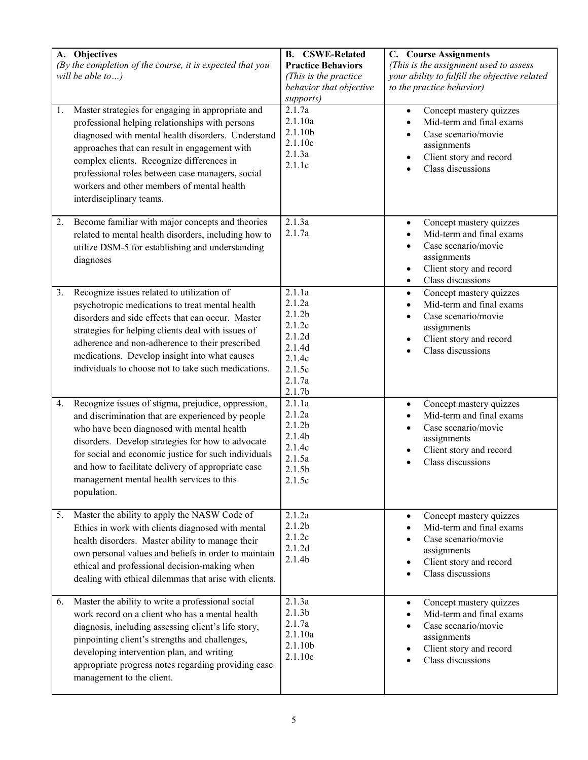| A. Objectives<br>(By the completion of the course, it is expected that you<br>will be able to)                                                                                                                                                                                                                                                                                               | <b>B.</b> CSWE-Related<br><b>Practice Behaviors</b><br>(This is the practice<br>behavior that objective<br>supports)     | <b>C.</b> Course Assignments<br>(This is the assignment used to assess<br>your ability to fulfill the objective related<br>to the practice behavior)   |
|----------------------------------------------------------------------------------------------------------------------------------------------------------------------------------------------------------------------------------------------------------------------------------------------------------------------------------------------------------------------------------------------|--------------------------------------------------------------------------------------------------------------------------|--------------------------------------------------------------------------------------------------------------------------------------------------------|
| 1.<br>Master strategies for engaging in appropriate and<br>professional helping relationships with persons<br>diagnosed with mental health disorders. Understand<br>approaches that can result in engagement with<br>complex clients. Recognize differences in<br>professional roles between case managers, social<br>workers and other members of mental health<br>interdisciplinary teams. | 2.1.7a<br>2.1.10a<br>2.1.10b<br>2.1.10c<br>2.1.3a<br>2.1.1c                                                              | Concept mastery quizzes<br>$\bullet$<br>Mid-term and final exams<br>Case scenario/movie<br>assignments<br>Client story and record<br>Class discussions |
| Become familiar with major concepts and theories<br>2.<br>related to mental health disorders, including how to<br>utilize DSM-5 for establishing and understanding<br>diagnoses                                                                                                                                                                                                              | 2.1.3a<br>2.1.7a                                                                                                         | Concept mastery quizzes<br>Mid-term and final exams<br>Case scenario/movie<br>assignments<br>Client story and record<br>Class discussions<br>$\bullet$ |
| Recognize issues related to utilization of<br>3.<br>psychotropic medications to treat mental health<br>disorders and side effects that can occur. Master<br>strategies for helping clients deal with issues of<br>adherence and non-adherence to their prescribed<br>medications. Develop insight into what causes<br>individuals to choose not to take such medications.                    | 2.1.1a<br>2.1.2a<br>2.1.2 <sub>b</sub><br>2.1.2c<br>2.1.2d<br>2.1.4d<br>2.1.4c<br>2.1.5c<br>2.1.7a<br>2.1.7 <sub>b</sub> | Concept mastery quizzes<br>$\bullet$<br>Mid-term and final exams<br>Case scenario/movie<br>assignments<br>Client story and record<br>Class discussions |
| Recognize issues of stigma, prejudice, oppression,<br>4.<br>and discrimination that are experienced by people<br>who have been diagnosed with mental health<br>disorders. Develop strategies for how to advocate<br>for social and economic justice for such individuals<br>and how to facilitate delivery of appropriate case<br>management mental health services to this<br>population.   | 2.1.1a<br>2.1.2a<br>2.1.2 <sub>b</sub><br>2.1.4 <sub>b</sub><br>2.1.4c<br>2.1.5a<br>2.1.5 <sub>b</sub><br>$2.1.5c$       | Concept mastery quizzes<br>$\bullet$<br>Mid-term and final exams<br>Case scenario/movie<br>assignments<br>Client story and record<br>Class discussions |
| 5. Master the ability to apply the NASW Code of<br>Ethics in work with clients diagnosed with mental<br>health disorders. Master ability to manage their<br>own personal values and beliefs in order to maintain<br>ethical and professional decision-making when<br>dealing with ethical dilemmas that arise with clients.                                                                  | 2.1.2a<br>2.1.2 <sub>b</sub><br>2.1.2c<br>2.1.2d<br>2.1.4b                                                               | Concept mastery quizzes<br>$\bullet$<br>Mid-term and final exams<br>Case scenario/movie<br>assignments<br>Client story and record<br>Class discussions |
| Master the ability to write a professional social<br>6.<br>work record on a client who has a mental health<br>diagnosis, including assessing client's life story,<br>pinpointing client's strengths and challenges,<br>developing intervention plan, and writing<br>appropriate progress notes regarding providing case<br>management to the client.                                         | 2.1.3a<br>2.1.3 <sub>b</sub><br>2.1.7a<br>2.1.10a<br>2.1.10b<br>2.1.10c                                                  | Concept mastery quizzes<br>$\bullet$<br>Mid-term and final exams<br>Case scenario/movie<br>assignments<br>Client story and record<br>Class discussions |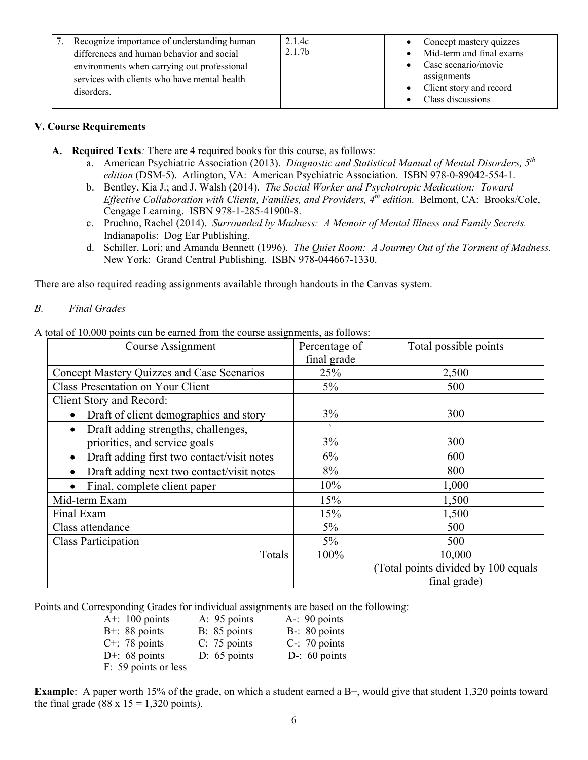| Recognize importance of understanding human<br>differences and human behavior and social | 2.1.4c<br>2.1.7 <sub>b</sub> | • Concept mastery quizzes<br>Mid-term and final exams |
|------------------------------------------------------------------------------------------|------------------------------|-------------------------------------------------------|
|                                                                                          |                              |                                                       |
| environments when carrying out professional                                              |                              | $\bullet$ Case scenario/movie                         |
| services with clients who have mental health                                             |                              | assignments                                           |
|                                                                                          |                              |                                                       |
| disorders.                                                                               |                              | • Client story and record                             |
|                                                                                          |                              | Class discussions                                     |
|                                                                                          |                              |                                                       |

#### **V. Course Requirements**

- **A. Required Texts***:* There are 4 required books for this course, as follows:
	- a. American Psychiatric Association (2013). *Diagnostic and Statistical Manual of Mental Disorders, 5th edition* (DSM-5). Arlington, VA: American Psychiatric Association. ISBN 978-0-89042-554-1.
	- b. Bentley, Kia J.; and J. Walsh (2014). *The Social Worker and Psychotropic Medication: Toward Effective Collaboration with Clients, Families, and Providers, 4th edition.* Belmont, CA: Brooks/Cole, Cengage Learning. ISBN 978-1-285-41900-8.
	- c. Pruchno, Rachel (2014). *Surrounded by Madness: A Memoir of Mental Illness and Family Secrets.* Indianapolis: Dog Ear Publishing.
	- d. Schiller, Lori; and Amanda Bennett (1996). *The Quiet Room: A Journey Out of the Torment of Madness.* New York: Grand Central Publishing. ISBN 978-044667-1330.

There are also required reading assignments available through handouts in the Canvas system.

#### *B. Final Grades*

A total of 10,000 points can be earned from the course assignments, as follows:

| Course Assignment                                       | Percentage of<br>final grade | Total possible points               |
|---------------------------------------------------------|------------------------------|-------------------------------------|
| Concept Mastery Quizzes and Case Scenarios              | 25%                          | 2,500                               |
| <b>Class Presentation on Your Client</b>                | $5\%$                        | 500                                 |
| Client Story and Record:                                |                              |                                     |
| Draft of client demographics and story<br>٠             | 3%                           | 300                                 |
| Draft adding strengths, challenges,<br>$\bullet$        | $\sqrt{2}$                   |                                     |
| priorities, and service goals                           | 3%                           | 300                                 |
| Draft adding first two contact/visit notes<br>$\bullet$ | 6%                           | 600                                 |
| Draft adding next two contact/visit notes<br>$\bullet$  | 8%                           | 800                                 |
| Final, complete client paper                            | 10%                          | 1,000                               |
| Mid-term Exam                                           | 15%                          | 1,500                               |
| Final Exam                                              | 15%                          | 1,500                               |
| Class attendance                                        | $5\%$                        | 500                                 |
| <b>Class Participation</b>                              | $5\%$                        | 500                                 |
| Totals                                                  | 100%                         | 10,000                              |
|                                                         |                              | (Total points divided by 100 equals |
|                                                         |                              | final grade)                        |

Points and Corresponding Grades for individual assignments are based on the following:

| A+: $100$ points     | A: 95 points   | $A - 90$ points  |
|----------------------|----------------|------------------|
| $B+$ : 88 points     | B: 85 points   | B-: 80 points    |
| $C^{+}$ : 78 points  | $C: 75$ points | $C-$ : 70 points |
| D+: $68$ points      | $D: 65$ points | D-: $60$ points  |
| F: 59 points or less |                |                  |

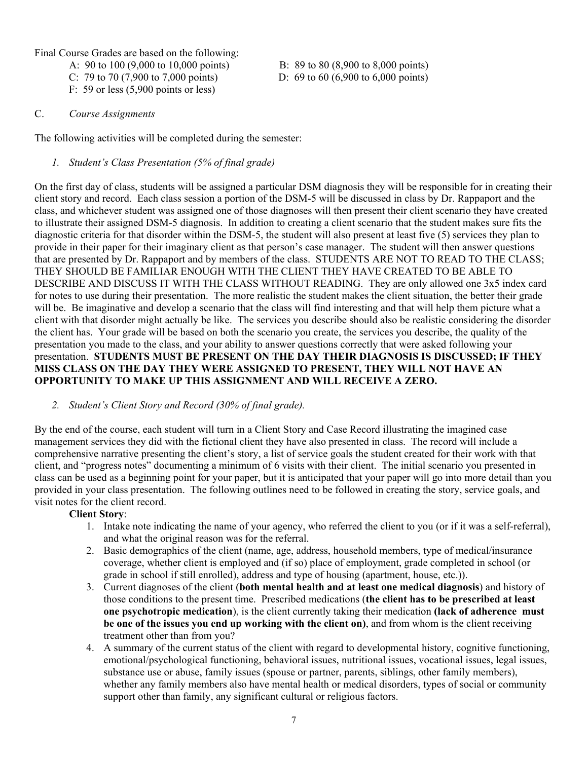Final Course Grades are based on the following:

A: 90 to 100 (9,000 to 10,000 points) B: 89 to 80 (8,900 to 8,000 points)

- C: 79 to 70 (7,900 to 7,000 points) D: 69 to 60 (6,900 to 6,000 points)
- F: 59 or less (5,900 points or less)

#### C. *Course Assignments*

The following activities will be completed during the semester:

### *1. Student's Class Presentation (5% of final grade)*

On the first day of class, students will be assigned a particular DSM diagnosis they will be responsible for in creating their client story and record. Each class session a portion of the DSM-5 will be discussed in class by Dr. Rappaport and the class, and whichever student was assigned one of those diagnoses will then present their client scenario they have created to illustrate their assigned DSM-5 diagnosis. In addition to creating a client scenario that the student makes sure fits the diagnostic criteria for that disorder within the DSM-5, the student will also present at least five (5) services they plan to provide in their paper for their imaginary client as that person's case manager. The student will then answer questions that are presented by Dr. Rappaport and by members of the class. STUDENTS ARE NOT TO READ TO THE CLASS; THEY SHOULD BE FAMILIAR ENOUGH WITH THE CLIENT THEY HAVE CREATED TO BE ABLE TO DESCRIBE AND DISCUSS IT WITH THE CLASS WITHOUT READING. They are only allowed one 3x5 index card for notes to use during their presentation. The more realistic the student makes the client situation, the better their grade will be. Be imaginative and develop a scenario that the class will find interesting and that will help them picture what a client with that disorder might actually be like. The services you describe should also be realistic considering the disorder the client has. Your grade will be based on both the scenario you create, the services you describe, the quality of the presentation you made to the class, and your ability to answer questions correctly that were asked following your presentation. **STUDENTS MUST BE PRESENT ON THE DAY THEIR DIAGNOSIS IS DISCUSSED; IF THEY MISS CLASS ON THE DAY THEY WERE ASSIGNED TO PRESENT, THEY WILL NOT HAVE AN OPPORTUNITY TO MAKE UP THIS ASSIGNMENT AND WILL RECEIVE A ZERO.**

### *2. Student's Client Story and Record (30% of final grade).*

By the end of the course, each student will turn in a Client Story and Case Record illustrating the imagined case management services they did with the fictional client they have also presented in class. The record will include a comprehensive narrative presenting the client's story, a list of service goals the student created for their work with that client, and "progress notes" documenting a minimum of 6 visits with their client. The initial scenario you presented in class can be used as a beginning point for your paper, but it is anticipated that your paper will go into more detail than you provided in your class presentation. The following outlines need to be followed in creating the story, service goals, and visit notes for the client record.

### **Client Story**:

- 1. Intake note indicating the name of your agency, who referred the client to you (or if it was a self-referral), and what the original reason was for the referral.
- 2. Basic demographics of the client (name, age, address, household members, type of medical/insurance coverage, whether client is employed and (if so) place of employment, grade completed in school (or grade in school if still enrolled), address and type of housing (apartment, house, etc.)).
- 3. Current diagnoses of the client (**both mental health and at least one medical diagnosis**) and history of those conditions to the present time. Prescribed medications (**the client has to be prescribed at least one psychotropic medication**), is the client currently taking their medication **(lack of adherence must be one of the issues you end up working with the client on)**, and from whom is the client receiving treatment other than from you?
- 4. A summary of the current status of the client with regard to developmental history, cognitive functioning, emotional/psychological functioning, behavioral issues, nutritional issues, vocational issues, legal issues, substance use or abuse, family issues (spouse or partner, parents, siblings, other family members), whether any family members also have mental health or medical disorders, types of social or community support other than family, any significant cultural or religious factors.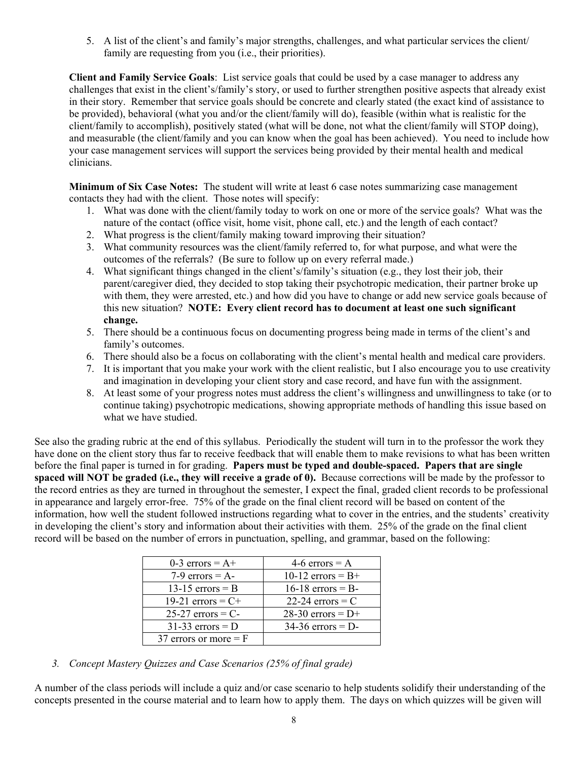5. A list of the client's and family's major strengths, challenges, and what particular services the client/ family are requesting from you (i.e., their priorities).

**Client and Family Service Goals**: List service goals that could be used by a case manager to address any challenges that exist in the client's/family's story, or used to further strengthen positive aspects that already exist in their story. Remember that service goals should be concrete and clearly stated (the exact kind of assistance to be provided), behavioral (what you and/or the client/family will do), feasible (within what is realistic for the client/family to accomplish), positively stated (what will be done, not what the client/family will STOP doing), and measurable (the client/family and you can know when the goal has been achieved). You need to include how your case management services will support the services being provided by their mental health and medical clinicians.

**Minimum of Six Case Notes:** The student will write at least 6 case notes summarizing case management contacts they had with the client. Those notes will specify:

- 1. What was done with the client/family today to work on one or more of the service goals? What was the nature of the contact (office visit, home visit, phone call, etc.) and the length of each contact?
- 2. What progress is the client/family making toward improving their situation?
- 3. What community resources was the client/family referred to, for what purpose, and what were the outcomes of the referrals? (Be sure to follow up on every referral made.)
- 4. What significant things changed in the client's/family's situation (e.g., they lost their job, their parent/caregiver died, they decided to stop taking their psychotropic medication, their partner broke up with them, they were arrested, etc.) and how did you have to change or add new service goals because of this new situation? **NOTE: Every client record has to document at least one such significant change.**
- 5. There should be a continuous focus on documenting progress being made in terms of the client's and family's outcomes.
- 6. There should also be a focus on collaborating with the client's mental health and medical care providers.
- 7. It is important that you make your work with the client realistic, but I also encourage you to use creativity and imagination in developing your client story and case record, and have fun with the assignment.
- 8. At least some of your progress notes must address the client's willingness and unwillingness to take (or to continue taking) psychotropic medications, showing appropriate methods of handling this issue based on what we have studied.

See also the grading rubric at the end of this syllabus. Periodically the student will turn in to the professor the work they have done on the client story thus far to receive feedback that will enable them to make revisions to what has been written before the final paper is turned in for grading. **Papers must be typed and double-spaced. Papers that are single spaced will NOT be graded (i.e., they will receive a grade of 0).** Because corrections will be made by the professor to the record entries as they are turned in throughout the semester, I expect the final, graded client records to be professional in appearance and largely error-free. 75% of the grade on the final client record will be based on content of the information, how well the student followed instructions regarding what to cover in the entries, and the students' creativity in developing the client's story and information about their activities with them. 25% of the grade on the final client record will be based on the number of errors in punctuation, spelling, and grammar, based on the following:

| 0-3 errors = $A+$       | 4-6 errors = $A$    |
|-------------------------|---------------------|
| $7-9$ errors = A-       | 10-12 errors = $B+$ |
| 13-15 errors $=$ B      | $16-18$ errors = B- |
| 19-21 errors = $C+$     | 22-24 errors $=$ C  |
| $25-27$ errors = C-     | 28-30 errors = $D+$ |
| $31-33$ errors = D      | $34-36$ errors = D- |
| 37 errors or more $=$ F |                     |

*3. Concept Mastery Quizzes and Case Scenarios (25% of final grade)*

A number of the class periods will include a quiz and/or case scenario to help students solidify their understanding of the concepts presented in the course material and to learn how to apply them. The days on which quizzes will be given will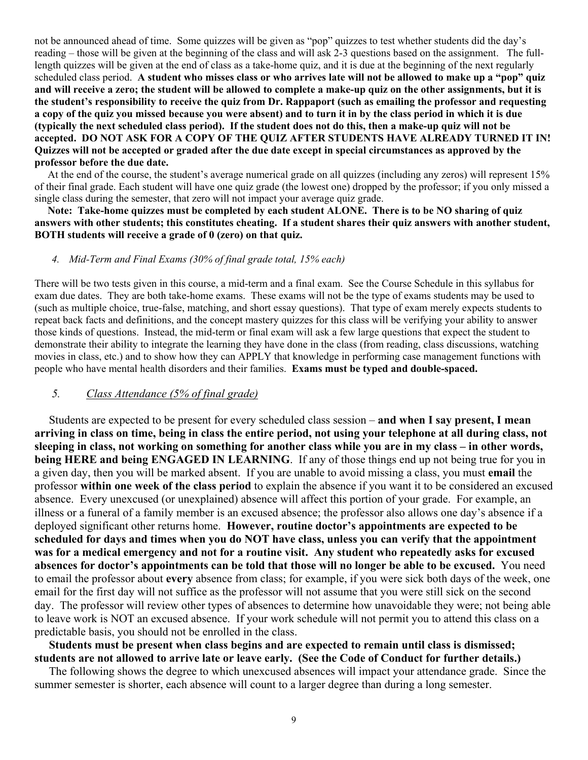not be announced ahead of time. Some quizzes will be given as "pop" quizzes to test whether students did the day's reading – those will be given at the beginning of the class and will ask 2-3 questions based on the assignment. The fulllength quizzes will be given at the end of class as a take-home quiz, and it is due at the beginning of the next regularly scheduled class period. **A student who misses class or who arrives late will not be allowed to make up a "pop" quiz and will receive a zero; the student will be allowed to complete a make-up quiz on the other assignments, but it is the student's responsibility to receive the quiz from Dr. Rappaport (such as emailing the professor and requesting a copy of the quiz you missed because you were absent) and to turn it in by the class period in which it is due (typically the next scheduled class period). If the student does not do this, then a make-up quiz will not be accepted. DO NOT ASK FOR A COPY OF THE QUIZ AFTER STUDENTS HAVE ALREADY TURNED IT IN! Quizzes will not be accepted or graded after the due date except in special circumstances as approved by the professor before the due date.**

 At the end of the course, the student's average numerical grade on all quizzes (including any zeros) will represent 15% of their final grade. Each student will have one quiz grade (the lowest one) dropped by the professor; if you only missed a single class during the semester, that zero will not impact your average quiz grade.

 **Note: Take-home quizzes must be completed by each student ALONE. There is to be NO sharing of quiz answers with other students; this constitutes cheating. If a student shares their quiz answers with another student, BOTH students will receive a grade of 0 (zero) on that quiz.**

#### *4. Mid-Term and Final Exams (30% of final grade total, 15% each)*

There will be two tests given in this course, a mid-term and a final exam. See the Course Schedule in this syllabus for exam due dates. They are both take-home exams. These exams will not be the type of exams students may be used to (such as multiple choice, true-false, matching, and short essay questions). That type of exam merely expects students to repeat back facts and definitions, and the concept mastery quizzes for this class will be verifying your ability to answer those kinds of questions. Instead, the mid-term or final exam will ask a few large questions that expect the student to demonstrate their ability to integrate the learning they have done in the class (from reading, class discussions, watching movies in class, etc.) and to show how they can APPLY that knowledge in performing case management functions with people who have mental health disorders and their families. **Exams must be typed and double-spaced.**

### *5. Class Attendance (5% of final grade)*

 Students are expected to be present for every scheduled class session – **and when I say present, I mean arriving in class on time, being in class the entire period, not using your telephone at all during class, not sleeping in class, not working on something for another class while you are in my class – in other words, being HERE and being ENGAGED IN LEARNING**. If any of those things end up not being true for you in a given day, then you will be marked absent. If you are unable to avoid missing a class, you must **email** the professor **within one week of the class period** to explain the absence if you want it to be considered an excused absence. Every unexcused (or unexplained) absence will affect this portion of your grade. For example, an illness or a funeral of a family member is an excused absence; the professor also allows one day's absence if a deployed significant other returns home. **However, routine doctor's appointments are expected to be scheduled for days and times when you do NOT have class, unless you can verify that the appointment was for a medical emergency and not for a routine visit. Any student who repeatedly asks for excused absences for doctor's appointments can be told that those will no longer be able to be excused.** You need to email the professor about **every** absence from class; for example, if you were sick both days of the week, one email for the first day will not suffice as the professor will not assume that you were still sick on the second day. The professor will review other types of absences to determine how unavoidable they were; not being able to leave work is NOT an excused absence. If your work schedule will not permit you to attend this class on a predictable basis, you should not be enrolled in the class.

 **Students must be present when class begins and are expected to remain until class is dismissed; students are not allowed to arrive late or leave early. (See the Code of Conduct for further details.)** 

The following shows the degree to which unexcused absences will impact your attendance grade. Since the summer semester is shorter, each absence will count to a larger degree than during a long semester.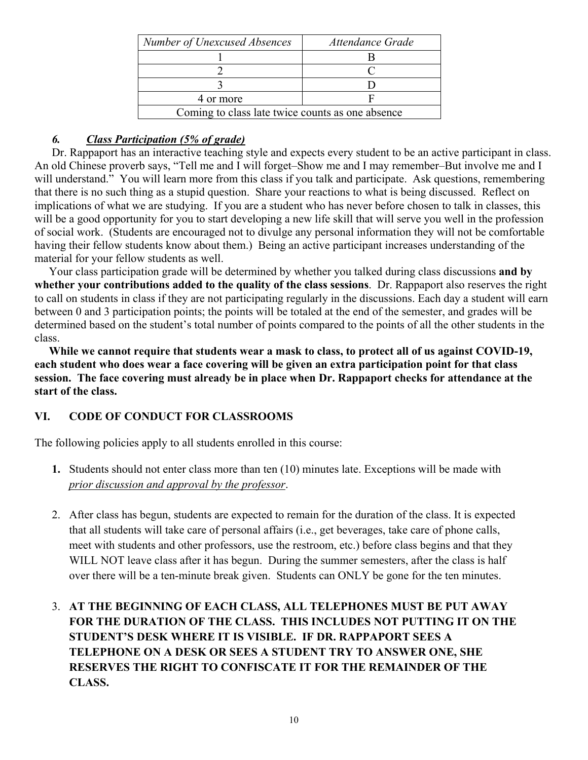| Number of Unexcused Absences                     | Attendance Grade |  |
|--------------------------------------------------|------------------|--|
|                                                  |                  |  |
|                                                  |                  |  |
|                                                  |                  |  |
| 4 or more                                        |                  |  |
| Coming to class late twice counts as one absence |                  |  |

# *6. Class Participation (5% of grade)*

Dr. Rappaport has an interactive teaching style and expects every student to be an active participant in class. An old Chinese proverb says, "Tell me and I will forget–Show me and I may remember–But involve me and I will understand." You will learn more from this class if you talk and participate. Ask questions, remembering that there is no such thing as a stupid question. Share your reactions to what is being discussed. Reflect on implications of what we are studying. If you are a student who has never before chosen to talk in classes, this will be a good opportunity for you to start developing a new life skill that will serve you well in the profession of social work. (Students are encouraged not to divulge any personal information they will not be comfortable having their fellow students know about them.) Being an active participant increases understanding of the material for your fellow students as well.

 Your class participation grade will be determined by whether you talked during class discussions **and by whether your contributions added to the quality of the class sessions**. Dr. Rappaport also reserves the right to call on students in class if they are not participating regularly in the discussions. Each day a student will earn between 0 and 3 participation points; the points will be totaled at the end of the semester, and grades will be determined based on the student's total number of points compared to the points of all the other students in the class.

 **While we cannot require that students wear a mask to class, to protect all of us against COVID-19, each student who does wear a face covering will be given an extra participation point for that class session. The face covering must already be in place when Dr. Rappaport checks for attendance at the start of the class.** 

# **VI. CODE OF CONDUCT FOR CLASSROOMS**

The following policies apply to all students enrolled in this course:

- **1.** Students should not enter class more than ten (10) minutes late. Exceptions will be made with *prior discussion and approval by the professor*.
- 2. After class has begun, students are expected to remain for the duration of the class. It is expected that all students will take care of personal affairs (i.e., get beverages, take care of phone calls, meet with students and other professors, use the restroom, etc.) before class begins and that they WILL NOT leave class after it has begun. During the summer semesters, after the class is half over there will be a ten-minute break given. Students can ONLY be gone for the ten minutes.
- 3. **AT THE BEGINNING OF EACH CLASS, ALL TELEPHONES MUST BE PUT AWAY FOR THE DURATION OF THE CLASS. THIS INCLUDES NOT PUTTING IT ON THE STUDENT'S DESK WHERE IT IS VISIBLE. IF DR. RAPPAPORT SEES A TELEPHONE ON A DESK OR SEES A STUDENT TRY TO ANSWER ONE, SHE RESERVES THE RIGHT TO CONFISCATE IT FOR THE REMAINDER OF THE CLASS.**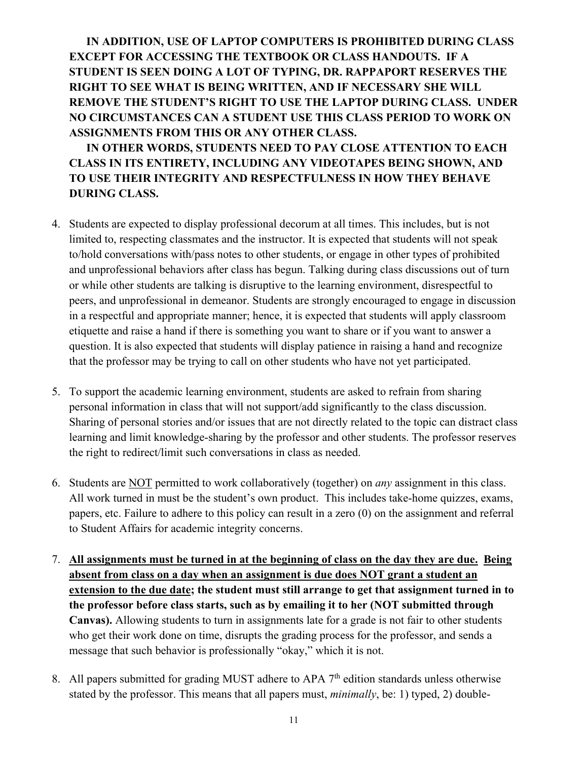**IN ADDITION, USE OF LAPTOP COMPUTERS IS PROHIBITED DURING CLASS EXCEPT FOR ACCESSING THE TEXTBOOK OR CLASS HANDOUTS. IF A STUDENT IS SEEN DOING A LOT OF TYPING, DR. RAPPAPORT RESERVES THE RIGHT TO SEE WHAT IS BEING WRITTEN, AND IF NECESSARY SHE WILL REMOVE THE STUDENT'S RIGHT TO USE THE LAPTOP DURING CLASS. UNDER NO CIRCUMSTANCES CAN A STUDENT USE THIS CLASS PERIOD TO WORK ON ASSIGNMENTS FROM THIS OR ANY OTHER CLASS.** 

**IN OTHER WORDS, STUDENTS NEED TO PAY CLOSE ATTENTION TO EACH CLASS IN ITS ENTIRETY, INCLUDING ANY VIDEOTAPES BEING SHOWN, AND TO USE THEIR INTEGRITY AND RESPECTFULNESS IN HOW THEY BEHAVE DURING CLASS.**

- 4. Students are expected to display professional decorum at all times. This includes, but is not limited to, respecting classmates and the instructor. It is expected that students will not speak to/hold conversations with/pass notes to other students, or engage in other types of prohibited and unprofessional behaviors after class has begun. Talking during class discussions out of turn or while other students are talking is disruptive to the learning environment, disrespectful to peers, and unprofessional in demeanor. Students are strongly encouraged to engage in discussion in a respectful and appropriate manner; hence, it is expected that students will apply classroom etiquette and raise a hand if there is something you want to share or if you want to answer a question. It is also expected that students will display patience in raising a hand and recognize that the professor may be trying to call on other students who have not yet participated.
- 5. To support the academic learning environment, students are asked to refrain from sharing personal information in class that will not support/add significantly to the class discussion. Sharing of personal stories and/or issues that are not directly related to the topic can distract class learning and limit knowledge-sharing by the professor and other students. The professor reserves the right to redirect/limit such conversations in class as needed.
- 6. Students are NOT permitted to work collaboratively (together) on *any* assignment in this class. All work turned in must be the student's own product. This includes take-home quizzes, exams, papers, etc. Failure to adhere to this policy can result in a zero (0) on the assignment and referral to Student Affairs for academic integrity concerns.
- 7. **All assignments must be turned in at the beginning of class on the day they are due. Being absent from class on a day when an assignment is due does NOT grant a student an extension to the due date; the student must still arrange to get that assignment turned in to the professor before class starts, such as by emailing it to her (NOT submitted through Canvas).** Allowing students to turn in assignments late for a grade is not fair to other students who get their work done on time, disrupts the grading process for the professor, and sends a message that such behavior is professionally "okay," which it is not.
- 8. All papers submitted for grading MUST adhere to APA  $7<sup>th</sup>$  edition standards unless otherwise stated by the professor. This means that all papers must, *minimally*, be: 1) typed, 2) double-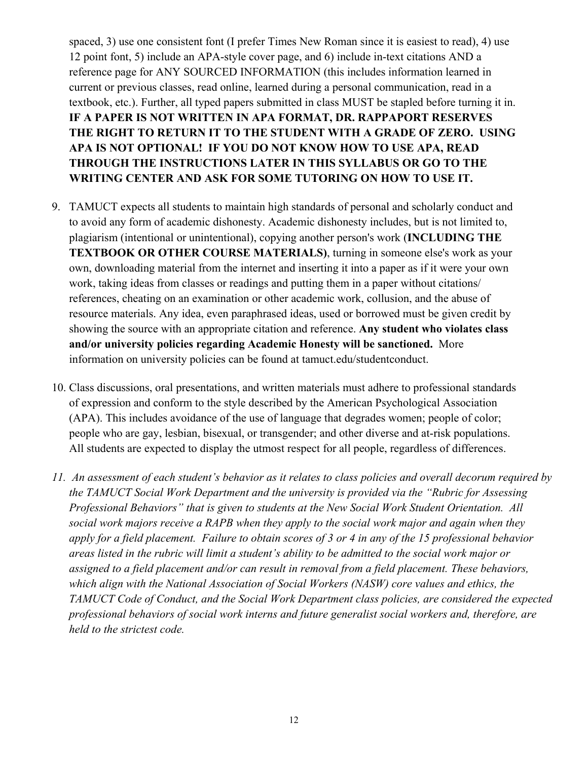spaced, 3) use one consistent font (I prefer Times New Roman since it is easiest to read), 4) use 12 point font, 5) include an APA-style cover page, and 6) include in-text citations AND a reference page for ANY SOURCED INFORMATION (this includes information learned in current or previous classes, read online, learned during a personal communication, read in a textbook, etc.). Further, all typed papers submitted in class MUST be stapled before turning it in. **IF A PAPER IS NOT WRITTEN IN APA FORMAT, DR. RAPPAPORT RESERVES THE RIGHT TO RETURN IT TO THE STUDENT WITH A GRADE OF ZERO. USING APA IS NOT OPTIONAL! IF YOU DO NOT KNOW HOW TO USE APA, READ THROUGH THE INSTRUCTIONS LATER IN THIS SYLLABUS OR GO TO THE WRITING CENTER AND ASK FOR SOME TUTORING ON HOW TO USE IT.**

- 9. TAMUCT expects all students to maintain high standards of personal and scholarly conduct and to avoid any form of academic dishonesty. Academic dishonesty includes, but is not limited to, plagiarism (intentional or unintentional), copying another person's work (**INCLUDING THE TEXTBOOK OR OTHER COURSE MATERIALS)**, turning in someone else's work as your own, downloading material from the internet and inserting it into a paper as if it were your own work, taking ideas from classes or readings and putting them in a paper without citations/ references, cheating on an examination or other academic work, collusion, and the abuse of resource materials. Any idea, even paraphrased ideas, used or borrowed must be given credit by showing the source with an appropriate citation and reference. **Any student who violates class and/or university policies regarding Academic Honesty will be sanctioned.** More information on university policies can be found at tamuct.edu/studentconduct.
- 10. Class discussions, oral presentations, and written materials must adhere to professional standards of expression and conform to the style described by the American Psychological Association (APA). This includes avoidance of the use of language that degrades women; people of color; people who are gay, lesbian, bisexual, or transgender; and other diverse and at-risk populations. All students are expected to display the utmost respect for all people, regardless of differences.
- *11. An assessment of each student's behavior as it relates to class policies and overall decorum required by the TAMUCT Social Work Department and the university is provided via the "Rubric for Assessing Professional Behaviors" that is given to students at the New Social Work Student Orientation. All social work majors receive a RAPB when they apply to the social work major and again when they apply for a field placement. Failure to obtain scores of 3 or 4 in any of the 15 professional behavior areas listed in the rubric will limit a student's ability to be admitted to the social work major or assigned to a field placement and/or can result in removal from a field placement. These behaviors, which align with the National Association of Social Workers (NASW) core values and ethics, the TAMUCT Code of Conduct, and the Social Work Department class policies, are considered the expected professional behaviors of social work interns and future generalist social workers and, therefore, are held to the strictest code.*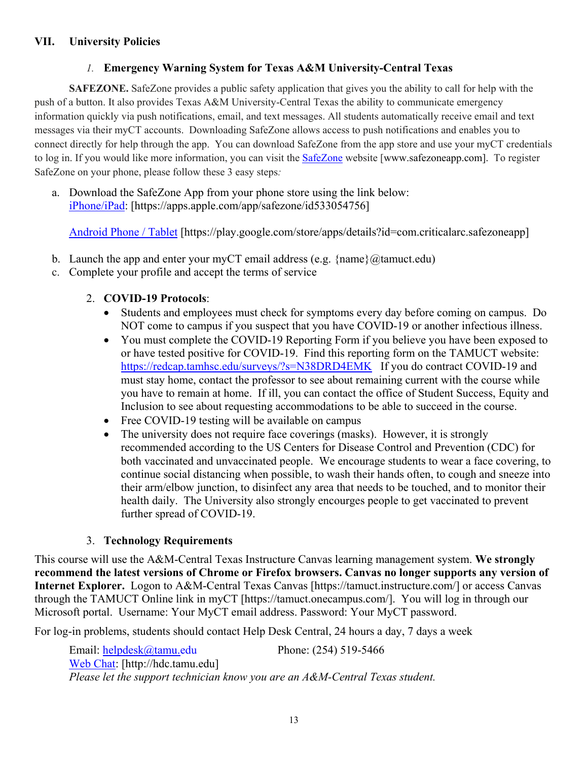# *1.* **Emergency Warning System for Texas A&M University-Central Texas**

**SAFEZONE.** SafeZone provides a public safety application that gives you the ability to call for help with the push of a button. It also provides Texas A&M University-Central Texas the ability to communicate emergency information quickly via push notifications, email, and text messages. All students automatically receive email and text messages via their myCT accounts. Downloading SafeZone allows access to push notifications and enables you to connect directly for help through the app. You can download SafeZone from the app store and use your myCT credentials to log in. If you would like more information, you can visit the **[SafeZone](http://www.safezoneapp.com/)** website [www.safezoneapp.com]. To register SafeZone on your phone, please follow these 3 easy steps*:*

a. Download the SafeZone App from your phone store using the link below: [iPhone/iPad:](https://apps.apple.com/app/safezone/id533054756) [https://apps.apple.com/app/safezone/id533054756]

[Android Phone / Tablet](https://play.google.com/store/apps/details?id=com.criticalarc.safezoneapp) [https://play.google.com/store/apps/details?id=com.criticalarc.safezoneapp]

- b. Launch the app and enter your myCT email address (e.g.  $\{\text{name}\}\langle\omega\rangle$  tamuct.edu)
- c. Complete your profile and accept the terms of service

# 2. **COVID-19 Protocols**:

- Students and employees must check for symptoms every day before coming on campus. Do NOT come to campus if you suspect that you have COVID-19 or another infectious illness.
- You must complete the COVID-19 Reporting Form if you believe you have been exposed to or have tested positive for COVID-19. Find this reporting form on the TAMUCT website: <https://redcap.tamhsc.edu/surveys/?s=N38DRD4EMK>If you do contract COVID-19 and must stay home, contact the professor to see about remaining current with the course while you have to remain at home. If ill, you can contact the office of Student Success, Equity and Inclusion to see about requesting accommodations to be able to succeed in the course.
- Free COVID-19 testing will be available on campus
- The university does not require face coverings (masks). However, it is strongly recommended according to the US Centers for Disease Control and Prevention (CDC) for both vaccinated and unvaccinated people. We encourage students to wear a face covering, to continue social distancing when possible, to wash their hands often, to cough and sneeze into their arm/elbow junction, to disinfect any area that needs to be touched, and to monitor their health daily. The University also strongly encourges people to get vaccinated to prevent further spread of COVID-19.

# 3. **Technology Requirements**

This course will use the A&M-Central Texas Instructure Canvas learning management system. **We strongly recommend the latest versions of Chrome or Firefox browsers. Canvas no longer supports any version of Internet Explorer.** Logon to A&M-Central Texas Canvas [https://tamuct.instructure.com/] or access Canvas through the TAMUCT Online link in myCT [https://tamuct.onecampus.com/]. You will log in through our Microsoft portal. Username: Your MyCT email address. Password: Your MyCT password.

For log-in problems, students should contact Help Desk Central, 24 hours a day, 7 days a week

Email: [helpdesk@tamu.edu](mailto:helpdesk@tamu.edu) Phone: (254) 519-5466 [Web Chat:](http://hdc.tamu.edu/) [http://hdc.tamu.edu] *Please let the support technician know you are an A&M-Central Texas student.*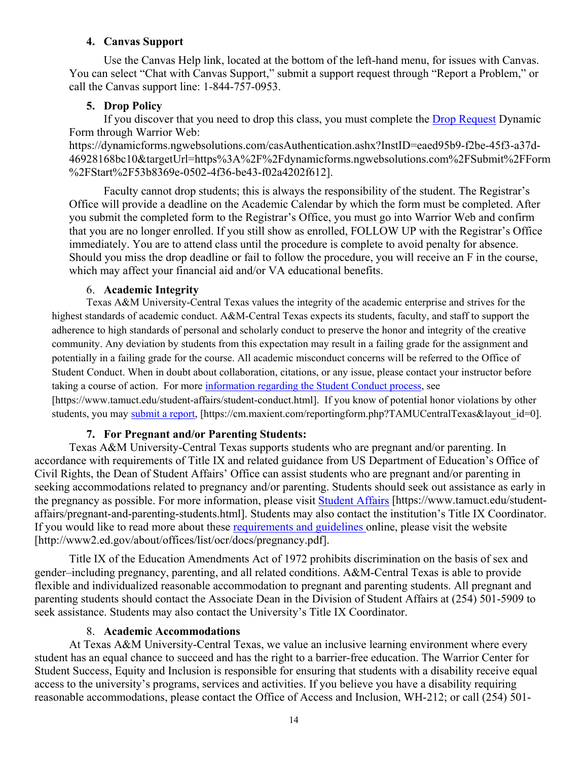#### **4. Canvas Support**

Use the Canvas Help link, located at the bottom of the left-hand menu, for issues with Canvas. You can select "Chat with Canvas Support," submit a support request through "Report a Problem," or call the Canvas support line: 1-844-757-0953.

### **5. Drop Policy**

If you discover that you need to drop this class, you must complete the **Drop Request Dynamic** Form through Warrior Web:

https://dynamicforms.ngwebsolutions.com/casAuthentication.ashx?InstID=eaed95b9-f2be-45f3-a37d-46928168bc10&targetUrl=https%3A%2F%2Fdynamicforms.ngwebsolutions.com%2FSubmit%2FForm %2FStart%2F53b8369e-0502-4f36-be43-f02a4202f612].

Faculty cannot drop students; this is always the responsibility of the student. The Registrar's Office will provide a deadline on the Academic Calendar by which the form must be completed. After you submit the completed form to the Registrar's Office, you must go into Warrior Web and confirm that you are no longer enrolled. If you still show as enrolled, FOLLOW UP with the Registrar's Office immediately. You are to attend class until the procedure is complete to avoid penalty for absence. Should you miss the drop deadline or fail to follow the procedure, you will receive an F in the course, which may affect your financial aid and/or VA educational benefits.

### 6. **Academic Integrity**

Texas A&M University-Central Texas values the integrity of the academic enterprise and strives for the highest standards of academic conduct. A&M-Central Texas expects its students, faculty, and staff to support the adherence to high standards of personal and scholarly conduct to preserve the honor and integrity of the creative community. Any deviation by students from this expectation may result in a failing grade for the assignment and potentially in a failing grade for the course. All academic misconduct concerns will be referred to the Office of Student Conduct. When in doubt about collaboration, citations, or any issue, please contact your instructor before taking a course of action. For more [information](https://nam04.safelinks.protection.outlook.com/?url=https%3A%2F%2Fwww.tamuct.edu%2Fstudent-affairs%2Fstudent-conduct.html&data=04%7C01%7Clisa.bunkowski%40tamuct.edu%7Ccfb6e486f24745f53e1a08d910055cb2%7C9eed4e3000f744849ff193ad8005acec%7C0%7C0%7C637558437485252160%7CUnknown%7CTWFpbGZsb3d8eyJWIjoiMC4wLjAwMDAiLCJQIjoiV2luMzIiLCJBTiI6Ik1haWwiLCJXVCI6Mn0%3D%7C1000&sdata=yjftDEVHvLX%2FhM%2FcFU0B99krV1RgEWR%2BJ%2BhvtoR6TYk%3D&reserved=0) regarding the Student Conduct process, see [https://www.tamuct.edu/student-affairs/student-conduct.html]. If you know of potential honor violations by other students, you may [submit](https://nam04.safelinks.protection.outlook.com/?url=https%3A%2F%2Fcm.maxient.com%2Freportingform.php%3FTAMUCentralTexas%26layout_id%3D0&data=04%7C01%7Clisa.bunkowski%40tamuct.edu%7Ccfb6e486f24745f53e1a08d910055cb2%7C9eed4e3000f744849ff193ad8005acec%7C0%7C0%7C637558437485262157%7CUnknown%7CTWFpbGZsb3d8eyJWIjoiMC4wLjAwMDAiLCJQIjoiV2luMzIiLCJBTiI6Ik1haWwiLCJXVCI6Mn0%3D%7C1000&sdata=CXGkOa6uPDPX1IMZ87z3aZDq2n91xfHKu4MMS43Ejjk%3D&reserved=0) a report, [https://cm.maxient.com/reportingform.php?TAMUCentralTexas&layout\_id=0].

### **7. For Pregnant and/or Parenting Students:**

Texas A&M University-Central Texas supports students who are pregnant and/or parenting. In accordance with requirements of Title IX and related guidance from US Department of Education's Office of Civil Rights, the Dean of Student Affairs' Office can assist students who are pregnant and/or parenting in seeking accommodations related to pregnancy and/or parenting. Students should seek out assistance as early in the pregnancy as possible. For more information, please visit [Student Affairs](https://www.tamuct.edu/student-affairs/pregnant-and-parenting-students.html) [https://www.tamuct.edu/studentaffairs/pregnant-and-parenting-students.html]. Students may also contact the institution's Title IX Coordinator. If you would like to read more about these [requirements and guidelines](http://www2.ed.gov/about/offices/list/ocr/docs/pregnancy.pdf) online, please visit the website [http://www2.ed.gov/about/offices/list/ocr/docs/pregnancy.pdf].

Title IX of the Education Amendments Act of 1972 prohibits discrimination on the basis of sex and gender–including pregnancy, parenting, and all related conditions. A&M-Central Texas is able to provide flexible and individualized reasonable accommodation to pregnant and parenting students. All pregnant and parenting students should contact the Associate Dean in the Division of Student Affairs at (254) 501-5909 to seek assistance. Students may also contact the University's Title IX Coordinator.

### 8. **Academic Accommodations**

At Texas A&M University-Central Texas, we value an inclusive learning environment where every student has an equal chance to succeed and has the right to a barrier-free education. The Warrior Center for Student Success, Equity and Inclusion is responsible for ensuring that students with a disability receive equal access to the university's programs, services and activities. If you believe you have a disability requiring reasonable accommodations, please contact the Office of Access and Inclusion, WH-212; or call (254) 501-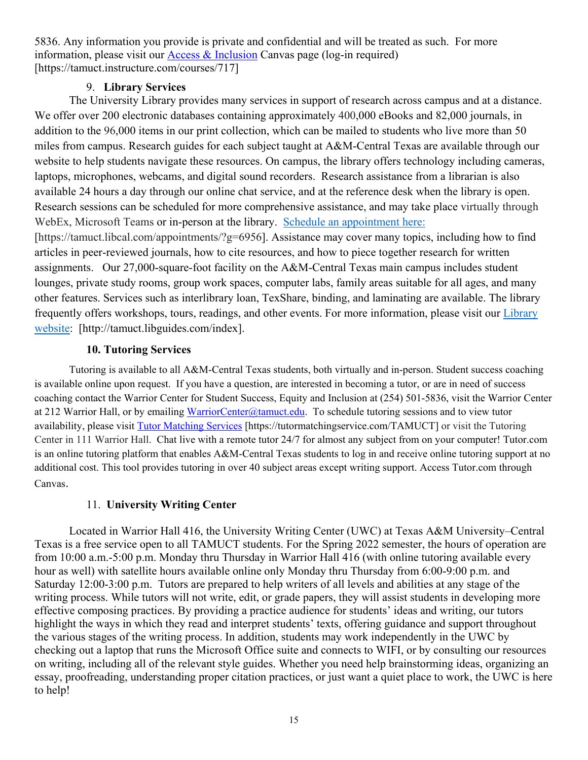5836. Any information you provide is private and confidential and will be treated as such. For more information, please visit our [Access & Inclusion](https://tamuct.instructure.com/courses/717) Canvas page (log-in required) [https://tamuct.instructure.com/courses/717]

### 9. **Library Services**

The University Library provides many services in support of research across campus and at a distance. We offer over 200 electronic databases containing approximately 400,000 eBooks and 82,000 journals, in addition to the 96,000 items in our print collection, which can be mailed to students who live more than 50 miles from campus. Research guides for each subject taught at A&M-Central Texas are available through our website to help students navigate these resources. On campus, the library offers technology including cameras, laptops, microphones, webcams, and digital sound recorders. Research assistance from a librarian is also available 24 hours a day through our online chat service, and at the reference desk when the library is open. Research sessions can be scheduled for more comprehensive assistance, and may take place virtually through WebEx, Microsoft Teams or in-person at the library. Schedule an [appointment](https://nam04.safelinks.protection.outlook.com/?url=https%3A%2F%2Ftamuct.libcal.com%2Fappointments%2F%3Fg%3D6956&data=04%7C01%7Clisa.bunkowski%40tamuct.edu%7Cde2c07d9f5804f09518008d9ab7ba6ff%7C9eed4e3000f744849ff193ad8005acec%7C0%7C0%7C637729369835011558%7CUnknown%7CTWFpbGZsb3d8eyJWIjoiMC4wLjAwMDAiLCJQIjoiV2luMzIiLCJBTiI6Ik1haWwiLCJXVCI6Mn0%3D%7C3000&sdata=KhtjgRSAw9aq%2FoBsB6wyu8b7PSuGN5EGPypzr3Ty2No%3D&reserved=0) here: [https://tamuct.libcal.com/appointments/?g=6956]. Assistance may cover many topics, including how to find articles in peer-reviewed journals, how to cite resources, and how to piece together research for written assignments. Our 27,000-square-foot facility on the A&M-Central Texas main campus includes student lounges, private study rooms, group work spaces, computer labs, family areas suitable for all ages, and many other features. Services such as interlibrary loan, TexShare, binding, and laminating are available. The library frequently offers workshops, tours, readings, and other events. For more information, please visit our [Library](https://nam04.safelinks.protection.outlook.com/?url=https%3A%2F%2Ftamuct.libguides.com%2Findex&data=04%7C01%7Clisa.bunkowski%40tamuct.edu%7C7d8489e8839a4915335f08d916f067f2%7C9eed4e3000f744849ff193ad8005acec%7C0%7C0%7C637566044056484222%7CUnknown%7CTWFpbGZsb3d8eyJWIjoiMC4wLjAwMDAiLCJQIjoiV2luMzIiLCJBTiI6Ik1haWwiLCJXVCI6Mn0%3D%7C1000&sdata=2R755V6rcIyedGrd4Os5rkgn1PvhHKU3kUV1vBKiHFo%3D&reserved=0) [website:](https://nam04.safelinks.protection.outlook.com/?url=https%3A%2F%2Ftamuct.libguides.com%2Findex&data=04%7C01%7Clisa.bunkowski%40tamuct.edu%7C7d8489e8839a4915335f08d916f067f2%7C9eed4e3000f744849ff193ad8005acec%7C0%7C0%7C637566044056484222%7CUnknown%7CTWFpbGZsb3d8eyJWIjoiMC4wLjAwMDAiLCJQIjoiV2luMzIiLCJBTiI6Ik1haWwiLCJXVCI6Mn0%3D%7C1000&sdata=2R755V6rcIyedGrd4Os5rkgn1PvhHKU3kUV1vBKiHFo%3D&reserved=0) [http://tamuct.libguides.com/index].

### **10. Tutoring Services**

Tutoring is available to all A&M-Central Texas students, both virtually and in-person. Student success coaching is available online upon request. If you have a question, are interested in becoming a tutor, or are in need of success coaching contact the Warrior Center for Student Success, Equity and Inclusion at (254) 501-5836, visit the Warrior Center at 212 Warrior Hall, or by emailing [WarriorCenter@tamuct.edu.](mailto:WarriorCenter@tamuct.edu) To schedule tutoring sessions and to view tutor availability, please visit Tutor [Matching](https://tutormatchingservice.com/TAMUCT) Services [https://tutormatchingservice.com/TAMUCT] or visit the Tutoring Center in 111 Warrior Hall. Chat live with a remote tutor 24/7 for almost any subject from on your computer! Tutor.com is an online tutoring platform that enables A&M-Central Texas students to log in and receive online tutoring support at no additional cost. This tool provides tutoring in over 40 subject areas except writing support. Access Tutor.com through Canvas.

### 11. **University Writing Center**

Located in Warrior Hall 416, the University Writing Center (UWC) at Texas A&M University–Central Texas is a free service open to all TAMUCT students. For the Spring 2022 semester, the hours of operation are from 10:00 a.m.-5:00 p.m. Monday thru Thursday in Warrior Hall 416 (with online tutoring available every hour as well) with satellite hours available online only Monday thru Thursday from 6:00-9:00 p.m. and Saturday 12:00-3:00 p.m. Tutors are prepared to help writers of all levels and abilities at any stage of the writing process. While tutors will not write, edit, or grade papers, they will assist students in developing more effective composing practices. By providing a practice audience for students' ideas and writing, our tutors highlight the ways in which they read and interpret students' texts, offering guidance and support throughout the various stages of the writing process. In addition, students may work independently in the UWC by checking out a laptop that runs the Microsoft Office suite and connects to WIFI, or by consulting our resources on writing, including all of the relevant style guides. Whether you need help brainstorming ideas, organizing an essay, proofreading, understanding proper citation practices, or just want a quiet place to work, the UWC is here to help!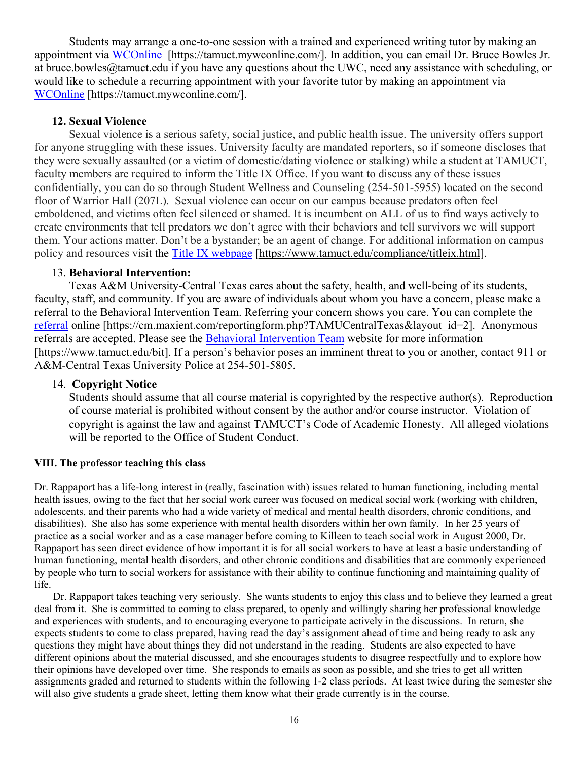Students may arrange a one-to-one session with a trained and experienced writing tutor by making an appointment via [WCOnline](https://tamuct.mywconline.com/) [https://tamuct.mywconline.com/]. In addition, you can email Dr. Bruce Bowles Jr. at bruce.bowles@tamuct.edu if you have any questions about the UWC, need any assistance with scheduling, or would like to schedule a recurring appointment with your favorite tutor by making an appointment via [WCOnline](https://tamuct.mywconline.com/) [https://tamuct.mywconline.com/].

### **12. Sexual Violence**

Sexual violence is a serious safety, social justice, and public health issue. The university offers support for anyone struggling with these issues. University faculty are mandated reporters, so if someone discloses that they were sexually assaulted (or a victim of domestic/dating violence or stalking) while a student at TAMUCT, faculty members are required to inform the Title IX Office. If you want to discuss any of these issues confidentially, you can do so through Student Wellness and Counseling (254-501-5955) located on the second floor of Warrior Hall (207L). Sexual violence can occur on our campus because predators often feel emboldened, and victims often feel silenced or shamed. It is incumbent on ALL of us to find ways actively to create environments that tell predators we don't agree with their behaviors and tell survivors we will support them. Your actions matter. Don't be a bystander; be an agent of change. For additional information on campus policy and resources visit the [Title IX webpage](https://www.tamuct.edu/compliance/titleix.html) [\[https://www.tamuct.edu/compliance/titleix.html\]](https://www.tamuct.edu/compliance/titleix.html).

#### 13. **Behavioral Intervention:**

Texas A&M University-Central Texas cares about the safety, health, and well-being of its students, faculty, staff, and community. If you are aware of individuals about whom you have a concern, please make a referral to the Behavioral Intervention Team. Referring your concern shows you care. You can complete the [referral](https://cm.maxient.com/reportingform.php?TAMUCentralTexas&layout_id=2) online [https://cm.maxient.com/reportingform.php?TAMUCentralTexas&layout\_id=2]. Anonymous referrals are accepted. Please see the [Behavioral Intervention Team](https://www.tamuct.edu/bit) website for more information [https://www.tamuct.edu/bit]. If a person's behavior poses an imminent threat to you or another, contact 911 or A&M-Central Texas University Police at 254-501-5805.

#### 14. **Copyright Notice**

Students should assume that all course material is copyrighted by the respective author(s). Reproduction of course material is prohibited without consent by the author and/or course instructor. Violation of copyright is against the law and against TAMUCT's Code of Academic Honesty. All alleged violations will be reported to the Office of Student Conduct.

#### **VIII. The professor teaching this class**

Dr. Rappaport has a life-long interest in (really, fascination with) issues related to human functioning, including mental health issues, owing to the fact that her social work career was focused on medical social work (working with children, adolescents, and their parents who had a wide variety of medical and mental health disorders, chronic conditions, and disabilities). She also has some experience with mental health disorders within her own family. In her 25 years of practice as a social worker and as a case manager before coming to Killeen to teach social work in August 2000, Dr. Rappaport has seen direct evidence of how important it is for all social workers to have at least a basic understanding of human functioning, mental health disorders, and other chronic conditions and disabilities that are commonly experienced by people who turn to social workers for assistance with their ability to continue functioning and maintaining quality of life.

 Dr. Rappaport takes teaching very seriously. She wants students to enjoy this class and to believe they learned a great deal from it. She is committed to coming to class prepared, to openly and willingly sharing her professional knowledge and experiences with students, and to encouraging everyone to participate actively in the discussions. In return, she expects students to come to class prepared, having read the day's assignment ahead of time and being ready to ask any questions they might have about things they did not understand in the reading. Students are also expected to have different opinions about the material discussed, and she encourages students to disagree respectfully and to explore how their opinions have developed over time. She responds to emails as soon as possible, and she tries to get all written assignments graded and returned to students within the following 1-2 class periods. At least twice during the semester she will also give students a grade sheet, letting them know what their grade currently is in the course.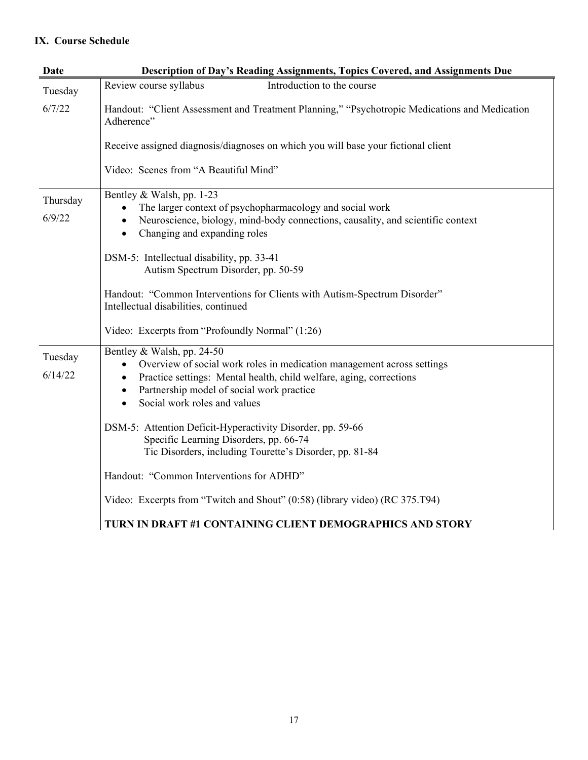## **IX. Course Schedule**

| <b>Date</b>        | Description of Day's Reading Assignments, Topics Covered, and Assignments Due                                                                                                                                                                                                                                                                                                                                                               |
|--------------------|---------------------------------------------------------------------------------------------------------------------------------------------------------------------------------------------------------------------------------------------------------------------------------------------------------------------------------------------------------------------------------------------------------------------------------------------|
| Tuesday            | Introduction to the course<br>Review course syllabus                                                                                                                                                                                                                                                                                                                                                                                        |
| 6/7/22             | Handout: "Client Assessment and Treatment Planning," "Psychotropic Medications and Medication<br>Adherence"                                                                                                                                                                                                                                                                                                                                 |
|                    | Receive assigned diagnosis/diagnoses on which you will base your fictional client                                                                                                                                                                                                                                                                                                                                                           |
|                    | Video: Scenes from "A Beautiful Mind"                                                                                                                                                                                                                                                                                                                                                                                                       |
| Thursday<br>6/9/22 | Bentley & Walsh, pp. 1-23<br>The larger context of psychopharmacology and social work<br>Neuroscience, biology, mind-body connections, causality, and scientific context<br>$\bullet$<br>Changing and expanding roles<br>$\bullet$<br>DSM-5: Intellectual disability, pp. 33-41<br>Autism Spectrum Disorder, pp. 50-59<br>Handout: "Common Interventions for Clients with Autism-Spectrum Disorder"<br>Intellectual disabilities, continued |
|                    | Video: Excerpts from "Profoundly Normal" (1:26)                                                                                                                                                                                                                                                                                                                                                                                             |
| Tuesday<br>6/14/22 | Bentley & Walsh, pp. 24-50<br>Overview of social work roles in medication management across settings<br>$\bullet$<br>Practice settings: Mental health, child welfare, aging, corrections<br>$\bullet$<br>Partnership model of social work practice<br>$\bullet$<br>Social work roles and values<br>$\bullet$                                                                                                                                |
|                    | DSM-5: Attention Deficit-Hyperactivity Disorder, pp. 59-66<br>Specific Learning Disorders, pp. 66-74<br>Tic Disorders, including Tourette's Disorder, pp. 81-84                                                                                                                                                                                                                                                                             |
|                    | Handout: "Common Interventions for ADHD"                                                                                                                                                                                                                                                                                                                                                                                                    |
|                    | Video: Excerpts from "Twitch and Shout" (0:58) (library video) (RC 375.T94)                                                                                                                                                                                                                                                                                                                                                                 |
|                    | TURN IN DRAFT #1 CONTAINING CLIENT DEMOGRAPHICS AND STORY                                                                                                                                                                                                                                                                                                                                                                                   |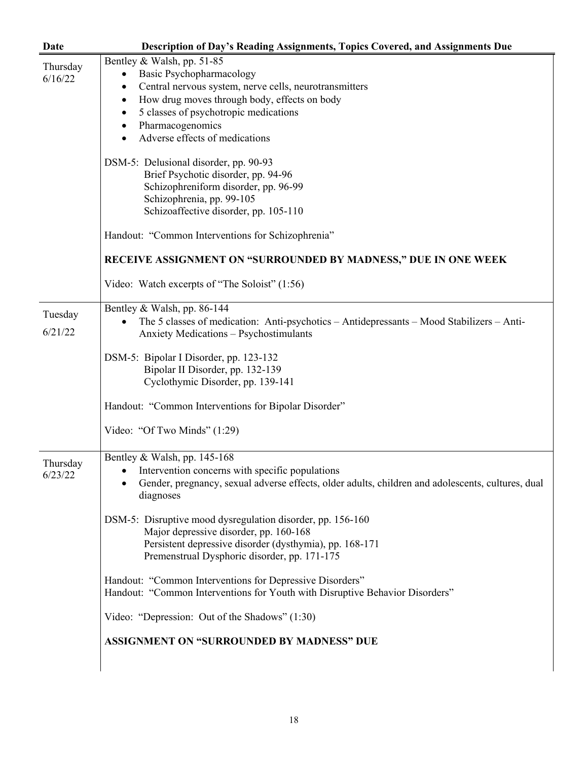| <b>Date</b> | <b>Description of Day's Reading Assignments, Topics Covered, and Assignments Due</b>                           |
|-------------|----------------------------------------------------------------------------------------------------------------|
| Thursday    | Bentley & Walsh, pp. 51-85                                                                                     |
| 6/16/22     | Basic Psychopharmacology<br>$\bullet$                                                                          |
|             | Central nervous system, nerve cells, neurotransmitters<br>٠                                                    |
|             | How drug moves through body, effects on body<br>٠                                                              |
|             | 5 classes of psychotropic medications                                                                          |
|             | Pharmacogenomics<br>$\bullet$                                                                                  |
|             | Adverse effects of medications                                                                                 |
|             | DSM-5: Delusional disorder, pp. 90-93                                                                          |
|             | Brief Psychotic disorder, pp. 94-96                                                                            |
|             | Schizophreniform disorder, pp. 96-99                                                                           |
|             | Schizophrenia, pp. 99-105                                                                                      |
|             | Schizoaffective disorder, pp. 105-110                                                                          |
|             | Handout: "Common Interventions for Schizophrenia"                                                              |
|             | RECEIVE ASSIGNMENT ON "SURROUNDED BY MADNESS," DUE IN ONE WEEK                                                 |
|             | Video: Watch excerpts of "The Soloist" (1:56)                                                                  |
| Tuesday     | Bentley & Walsh, pp. 86-144                                                                                    |
|             | The 5 classes of medication: Anti-psychotics – Antidepressants – Mood Stabilizers – Anti-                      |
| 6/21/22     | Anxiety Medications - Psychostimulants                                                                         |
|             | DSM-5: Bipolar I Disorder, pp. 123-132                                                                         |
|             | Bipolar II Disorder, pp. 132-139                                                                               |
|             | Cyclothymic Disorder, pp. 139-141                                                                              |
|             |                                                                                                                |
|             | Handout: "Common Interventions for Bipolar Disorder"                                                           |
|             | Video: "Of Two Minds" (1:29)                                                                                   |
| Thursday    | Bentley & Walsh, pp. 145-168                                                                                   |
| 6/23/22     | • Intervention concerns with specific populations                                                              |
|             | Gender, pregnancy, sexual adverse effects, older adults, children and adolescents, cultures, dual<br>diagnoses |
|             | DSM-5: Disruptive mood dysregulation disorder, pp. 156-160                                                     |
|             | Major depressive disorder, pp. 160-168                                                                         |
|             | Persistent depressive disorder (dysthymia), pp. 168-171                                                        |
|             | Premenstrual Dysphoric disorder, pp. 171-175                                                                   |
|             | Handout: "Common Interventions for Depressive Disorders"                                                       |
|             | Handout: "Common Interventions for Youth with Disruptive Behavior Disorders"                                   |
|             | Video: "Depression: Out of the Shadows" (1:30)                                                                 |
|             | ASSIGNMENT ON "SURROUNDED BY MADNESS" DUE                                                                      |
|             |                                                                                                                |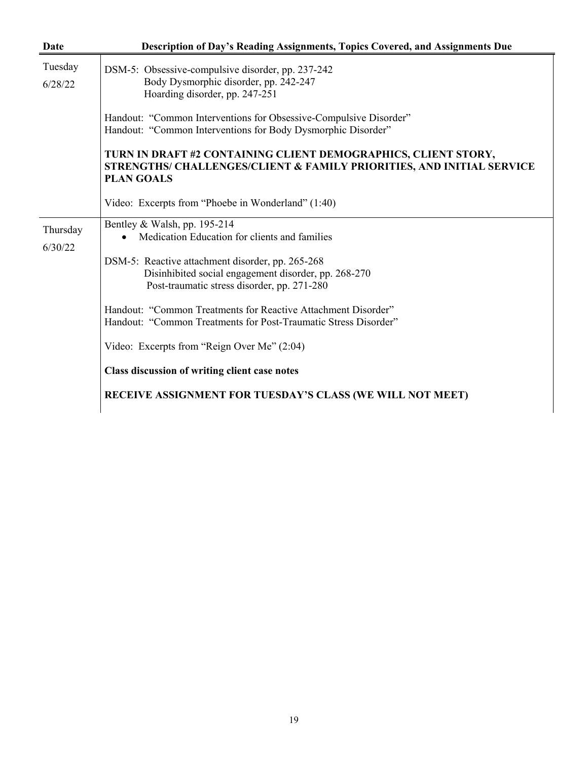| Date                | Description of Day's Reading Assignments, Topics Covered, and Assignments Due                                                                                |
|---------------------|--------------------------------------------------------------------------------------------------------------------------------------------------------------|
| Tuesday<br>6/28/22  | DSM-5: Obsessive-compulsive disorder, pp. 237-242<br>Body Dysmorphic disorder, pp. 242-247<br>Hoarding disorder, pp. 247-251                                 |
|                     | Handout: "Common Interventions for Obsessive-Compulsive Disorder"<br>Handout: "Common Interventions for Body Dysmorphic Disorder"                            |
|                     | TURN IN DRAFT #2 CONTAINING CLIENT DEMOGRAPHICS, CLIENT STORY,<br>STRENGTHS/ CHALLENGES/CLIENT & FAMILY PRIORITIES, AND INITIAL SERVICE<br><b>PLAN GOALS</b> |
|                     | Video: Excerpts from "Phoebe in Wonderland" (1:40)                                                                                                           |
| Thursday<br>6/30/22 | Bentley & Walsh, pp. 195-214<br>Medication Education for clients and families                                                                                |
|                     | DSM-5: Reactive attachment disorder, pp. 265-268<br>Disinhibited social engagement disorder, pp. 268-270<br>Post-traumatic stress disorder, pp. 271-280      |
|                     | Handout: "Common Treatments for Reactive Attachment Disorder"<br>Handout: "Common Treatments for Post-Traumatic Stress Disorder"                             |
|                     | Video: Excerpts from "Reign Over Me" (2:04)                                                                                                                  |
|                     | Class discussion of writing client case notes                                                                                                                |
|                     | RECEIVE ASSIGNMENT FOR TUESDAY'S CLASS (WE WILL NOT MEET)                                                                                                    |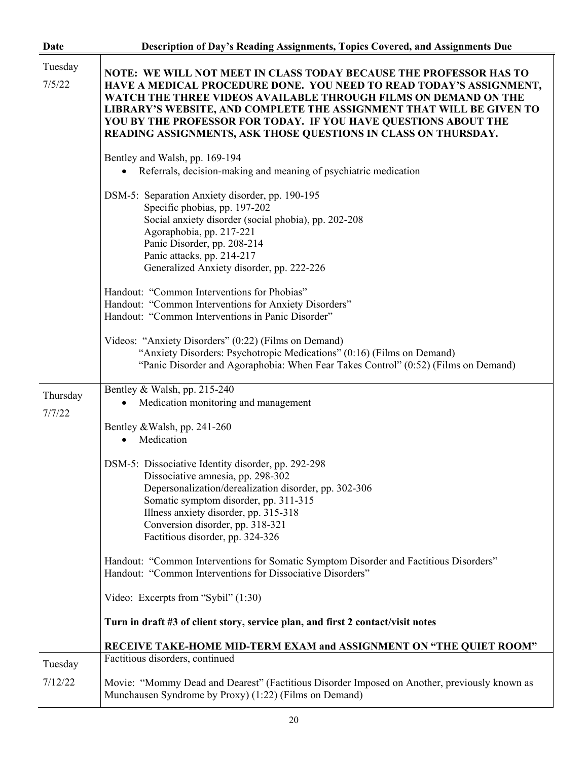| <b>Date</b>        | Description of Day's Reading Assignments, Topics Covered, and Assignments Due                                                                                                                                                                                                                                                                                                                                             |
|--------------------|---------------------------------------------------------------------------------------------------------------------------------------------------------------------------------------------------------------------------------------------------------------------------------------------------------------------------------------------------------------------------------------------------------------------------|
| Tuesday<br>7/5/22  | NOTE: WE WILL NOT MEET IN CLASS TODAY BECAUSE THE PROFESSOR HAS TO<br>HAVE A MEDICAL PROCEDURE DONE. YOU NEED TO READ TODAY'S ASSIGNMENT,<br>WATCH THE THREE VIDEOS AVAILABLE THROUGH FILMS ON DEMAND ON THE<br>LIBRARY'S WEBSITE, AND COMPLETE THE ASSIGNMENT THAT WILL BE GIVEN TO<br>YOU BY THE PROFESSOR FOR TODAY. IF YOU HAVE QUESTIONS ABOUT THE<br>READING ASSIGNMENTS, ASK THOSE QUESTIONS IN CLASS ON THURSDAY. |
|                    | Bentley and Walsh, pp. 169-194<br>Referrals, decision-making and meaning of psychiatric medication                                                                                                                                                                                                                                                                                                                        |
|                    | DSM-5: Separation Anxiety disorder, pp. 190-195<br>Specific phobias, pp. 197-202<br>Social anxiety disorder (social phobia), pp. 202-208<br>Agoraphobia, pp. 217-221<br>Panic Disorder, pp. 208-214<br>Panic attacks, pp. 214-217<br>Generalized Anxiety disorder, pp. 222-226                                                                                                                                            |
|                    | Handout: "Common Interventions for Phobias"<br>Handout: "Common Interventions for Anxiety Disorders"<br>Handout: "Common Interventions in Panic Disorder"                                                                                                                                                                                                                                                                 |
|                    | Videos: "Anxiety Disorders" (0:22) (Films on Demand)<br>"Anxiety Disorders: Psychotropic Medications" (0:16) (Films on Demand)<br>"Panic Disorder and Agoraphobia: When Fear Takes Control" (0:52) (Films on Demand)                                                                                                                                                                                                      |
| Thursday<br>7/7/22 | Bentley & Walsh, pp. 215-240<br>Medication monitoring and management                                                                                                                                                                                                                                                                                                                                                      |
|                    | Bentley & Walsh, pp. 241-260<br>Medication<br>$\bullet$                                                                                                                                                                                                                                                                                                                                                                   |
|                    | DSM-5: Dissociative Identity disorder, pp. 292-298<br>Dissociative amnesia, pp. 298-302<br>Depersonalization/derealization disorder, pp. 302-306<br>Somatic symptom disorder, pp. 311-315<br>Illness anxiety disorder, pp. 315-318<br>Conversion disorder, pp. 318-321<br>Factitious disorder, pp. 324-326                                                                                                                |
|                    | Handout: "Common Interventions for Somatic Symptom Disorder and Factitious Disorders"<br>Handout: "Common Interventions for Dissociative Disorders"                                                                                                                                                                                                                                                                       |
|                    | Video: Excerpts from "Sybil" (1:30)                                                                                                                                                                                                                                                                                                                                                                                       |
|                    | Turn in draft #3 of client story, service plan, and first 2 contact/visit notes                                                                                                                                                                                                                                                                                                                                           |
| Tuesday            | RECEIVE TAKE-HOME MID-TERM EXAM and ASSIGNMENT ON "THE QUIET ROOM"<br>Factitious disorders, continued                                                                                                                                                                                                                                                                                                                     |
| 7/12/22            | Movie: "Mommy Dead and Dearest" (Factitious Disorder Imposed on Another, previously known as<br>Munchausen Syndrome by Proxy) (1:22) (Films on Demand)                                                                                                                                                                                                                                                                    |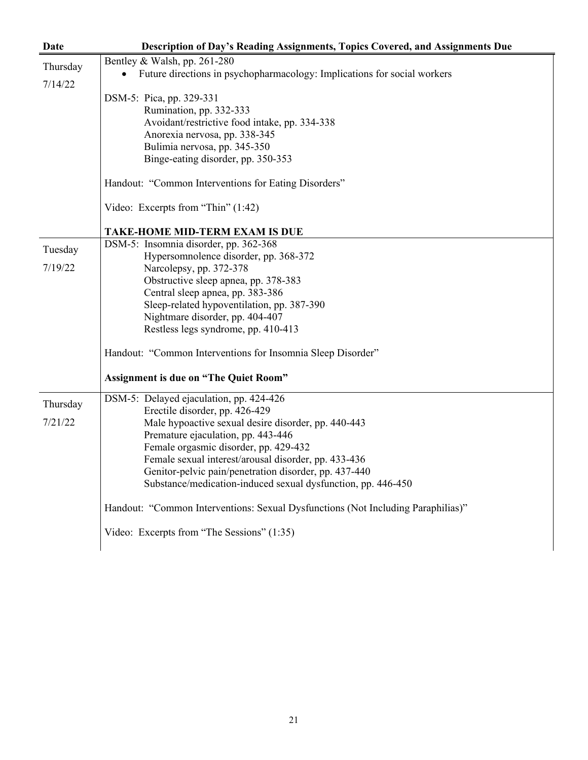| Date     | Description of Day's Reading Assignments, Topics Covered, and Assignments Due         |
|----------|---------------------------------------------------------------------------------------|
| Thursday | Bentley & Walsh, pp. 261-280                                                          |
|          | Future directions in psychopharmacology: Implications for social workers<br>$\bullet$ |
| 7/14/22  |                                                                                       |
|          | DSM-5: Pica, pp. 329-331                                                              |
|          | Rumination, pp. 332-333                                                               |
|          | Avoidant/restrictive food intake, pp. 334-338                                         |
|          | Anorexia nervosa, pp. 338-345                                                         |
|          | Bulimia nervosa, pp. 345-350                                                          |
|          | Binge-eating disorder, pp. 350-353                                                    |
|          | Handout: "Common Interventions for Eating Disorders"                                  |
|          | Video: Excerpts from "Thin" (1:42)                                                    |
|          | <b>TAKE-HOME MID-TERM EXAM IS DUE</b>                                                 |
| Tuesday  | DSM-5: Insomnia disorder, pp. 362-368                                                 |
|          | Hypersomnolence disorder, pp. 368-372                                                 |
| 7/19/22  | Narcolepsy, pp. 372-378                                                               |
|          | Obstructive sleep apnea, pp. 378-383                                                  |
|          | Central sleep apnea, pp. 383-386                                                      |
|          | Sleep-related hypoventilation, pp. 387-390                                            |
|          | Nightmare disorder, pp. 404-407                                                       |
|          | Restless legs syndrome, pp. 410-413                                                   |
|          | Handout: "Common Interventions for Insomnia Sleep Disorder"                           |
|          | <b>Assignment is due on "The Quiet Room"</b>                                          |
| Thursday | DSM-5: Delayed ejaculation, pp. 424-426                                               |
|          | Erectile disorder, pp. 426-429                                                        |
| 7/21/22  | Male hypoactive sexual desire disorder, pp. 440-443                                   |
|          | Premature ejaculation, pp. 443-446                                                    |
|          | Female orgasmic disorder, pp. 429-432                                                 |
|          | Female sexual interest/arousal disorder, pp. 433-436                                  |
|          | Genitor-pelvic pain/penetration disorder, pp. 437-440                                 |
|          | Substance/medication-induced sexual dysfunction, pp. 446-450                          |
|          | Handout: "Common Interventions: Sexual Dysfunctions (Not Including Paraphilias)"      |
|          | Video: Excerpts from "The Sessions" (1:35)                                            |
|          |                                                                                       |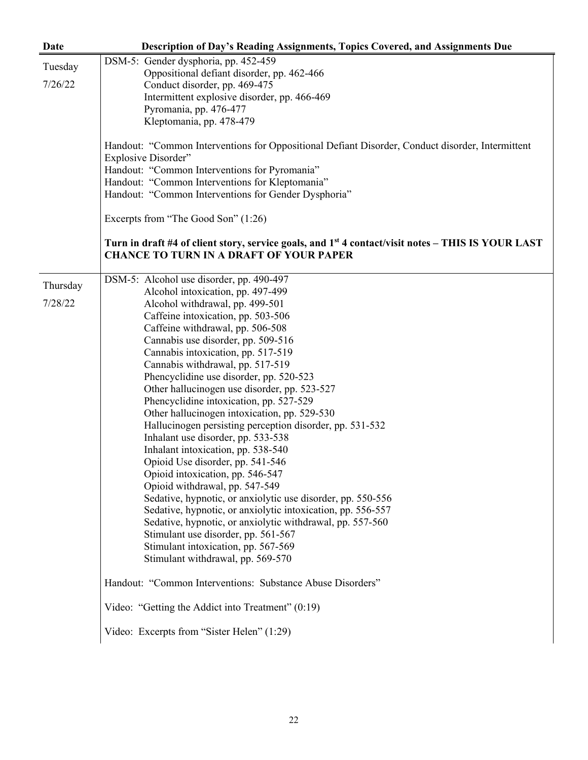| <b>Date</b> | Description of Day's Reading Assignments, Topics Covered, and Assignments Due                                  |
|-------------|----------------------------------------------------------------------------------------------------------------|
| Tuesday     | DSM-5: Gender dysphoria, pp. 452-459                                                                           |
|             | Oppositional defiant disorder, pp. 462-466                                                                     |
| 7/26/22     | Conduct disorder, pp. 469-475                                                                                  |
|             | Intermittent explosive disorder, pp. 466-469                                                                   |
|             | Pyromania, pp. 476-477                                                                                         |
|             | Kleptomania, pp. 478-479                                                                                       |
|             | Handout: "Common Interventions for Oppositional Defiant Disorder, Conduct disorder, Intermittent               |
|             | Explosive Disorder"                                                                                            |
|             | Handout: "Common Interventions for Pyromania"                                                                  |
|             | Handout: "Common Interventions for Kleptomania"                                                                |
|             | Handout: "Common Interventions for Gender Dysphoria"                                                           |
|             | Excerpts from "The Good Son" (1:26)                                                                            |
|             |                                                                                                                |
|             | Turn in draft #4 of client story, service goals, and 1 <sup>st</sup> 4 contact/visit notes – THIS IS YOUR LAST |
|             | <b>CHANCE TO TURN IN A DRAFT OF YOUR PAPER</b>                                                                 |
|             | DSM-5: Alcohol use disorder, pp. 490-497                                                                       |
| Thursday    | Alcohol intoxication, pp. 497-499                                                                              |
| 7/28/22     | Alcohol withdrawal, pp. 499-501                                                                                |
|             | Caffeine intoxication, pp. 503-506                                                                             |
|             | Caffeine withdrawal, pp. 506-508                                                                               |
|             | Cannabis use disorder, pp. 509-516                                                                             |
|             | Cannabis intoxication, pp. 517-519                                                                             |
|             | Cannabis withdrawal, pp. 517-519                                                                               |
|             | Phencyclidine use disorder, pp. 520-523                                                                        |
|             | Other hallucinogen use disorder, pp. 523-527                                                                   |
|             | Phencyclidine intoxication, pp. 527-529                                                                        |
|             | Other hallucinogen intoxication, pp. 529-530                                                                   |
|             | Hallucinogen persisting perception disorder, pp. 531-532                                                       |
|             | Inhalant use disorder, pp. 533-538                                                                             |
|             | Inhalant intoxication, pp. 538-540                                                                             |
|             | Opioid Use disorder, pp. 541-546                                                                               |
|             | Opioid intoxication, pp. 546-547                                                                               |
|             | Opioid withdrawal, pp. 547-549                                                                                 |
|             | Sedative, hypnotic, or anxiolytic use disorder, pp. 550-556                                                    |
|             | Sedative, hypnotic, or anxiolytic intoxication, pp. 556-557                                                    |
|             | Sedative, hypnotic, or anxiolytic withdrawal, pp. 557-560                                                      |
|             | Stimulant use disorder, pp. 561-567                                                                            |
|             | Stimulant intoxication, pp. 567-569                                                                            |
|             | Stimulant withdrawal, pp. 569-570                                                                              |
|             | Handout: "Common Interventions: Substance Abuse Disorders"                                                     |
|             | Video: "Getting the Addict into Treatment" (0:19)                                                              |
|             | Video: Excerpts from "Sister Helen" (1:29)                                                                     |
|             |                                                                                                                |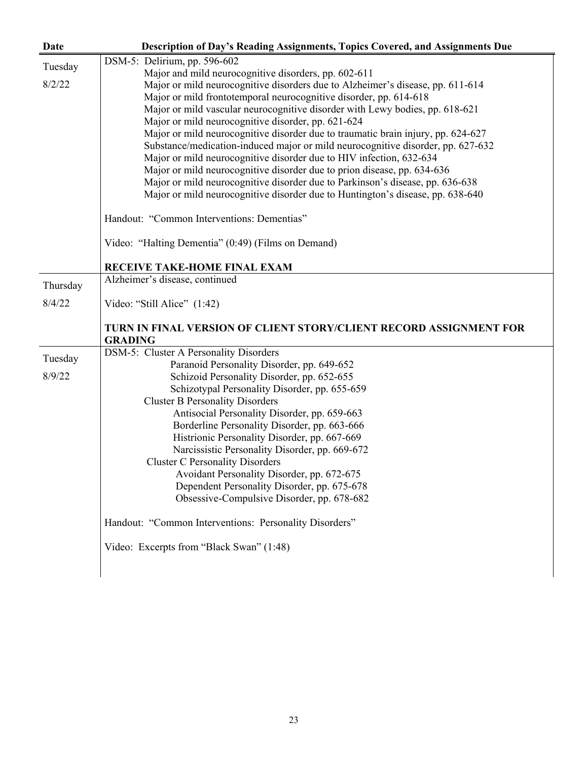| Date     | Description of Day's Reading Assignments, Topics Covered, and Assignments Due        |
|----------|--------------------------------------------------------------------------------------|
| Tuesday  | DSM-5: Delirium, pp. 596-602                                                         |
|          | Major and mild neurocognitive disorders, pp. 602-611                                 |
| 8/2/22   | Major or mild neurocognitive disorders due to Alzheimer's disease, pp. 611-614       |
|          | Major or mild frontotemporal neurocognitive disorder, pp. 614-618                    |
|          | Major or mild vascular neurocognitive disorder with Lewy bodies, pp. 618-621         |
|          | Major or mild neurocognitive disorder, pp. 621-624                                   |
|          | Major or mild neurocognitive disorder due to traumatic brain injury, pp. 624-627     |
|          | Substance/medication-induced major or mild neurocognitive disorder, pp. 627-632      |
|          | Major or mild neurocognitive disorder due to HIV infection, 632-634                  |
|          | Major or mild neurocognitive disorder due to prion disease, pp. 634-636              |
|          | Major or mild neurocognitive disorder due to Parkinson's disease, pp. 636-638        |
|          | Major or mild neurocognitive disorder due to Huntington's disease, pp. 638-640       |
|          | Handout: "Common Interventions: Dementias"                                           |
|          | Video: "Halting Dementia" (0:49) (Films on Demand)                                   |
|          | RECEIVE TAKE-HOME FINAL EXAM                                                         |
| Thursday | Alzheimer's disease, continued                                                       |
| 8/4/22   | Video: "Still Alice" (1:42)                                                          |
|          | TURN IN FINAL VERSION OF CLIENT STORY/CLIENT RECORD ASSIGNMENT FOR<br><b>GRADING</b> |
|          | DSM-5: Cluster A Personality Disorders                                               |
| Tuesday  | Paranoid Personality Disorder, pp. 649-652                                           |
| 8/9/22   | Schizoid Personality Disorder, pp. 652-655                                           |
|          | Schizotypal Personality Disorder, pp. 655-659                                        |
|          | <b>Cluster B Personality Disorders</b>                                               |
|          | Antisocial Personality Disorder, pp. 659-663                                         |
|          | Borderline Personality Disorder, pp. 663-666                                         |
|          | Histrionic Personality Disorder, pp. 667-669                                         |
|          | Narcissistic Personality Disorder, pp. 669-672                                       |
|          | <b>Cluster C Personality Disorders</b>                                               |
|          | Avoidant Personality Disorder, pp. 672-675                                           |
|          | Dependent Personality Disorder, pp. 675-678                                          |
|          | Obsessive-Compulsive Disorder, pp. 678-682                                           |
|          | Handout: "Common Interventions: Personality Disorders"                               |
|          | Video: Excerpts from "Black Swan" (1:48)                                             |
|          |                                                                                      |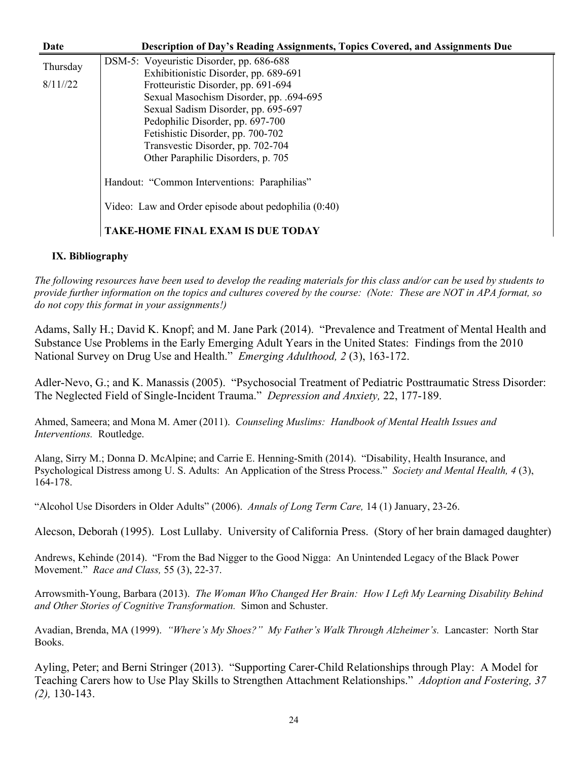| Date     | <b>Description of Day's Reading Assignments, Topics Covered, and Assignments Due</b> |
|----------|--------------------------------------------------------------------------------------|
| Thursday | DSM-5: Voyeuristic Disorder, pp. 686-688                                             |
|          | Exhibitionistic Disorder, pp. 689-691                                                |
| 8/11/22  | Frotteuristic Disorder, pp. 691-694                                                  |
|          | Sexual Masochism Disorder, pp. .694-695                                              |
|          | Sexual Sadism Disorder, pp. 695-697                                                  |
|          | Pedophilic Disorder, pp. 697-700                                                     |
|          | Fetishistic Disorder, pp. 700-702                                                    |
|          | Transvestic Disorder, pp. 702-704                                                    |
|          | Other Paraphilic Disorders, p. 705                                                   |
|          | Handout: "Common Interventions: Paraphilias"                                         |
|          | Video: Law and Order episode about pedophilia (0:40)                                 |
|          | <b>TAKE-HOME FINAL EXAM IS DUE TODAY</b>                                             |

### **IX. Bibliography**

*The following resources have been used to develop the reading materials for this class and/or can be used by students to provide further information on the topics and cultures covered by the course: (Note: These are NOT in APA format, so do not copy this format in your assignments!)*

Adams, Sally H.; David K. Knopf; and M. Jane Park (2014). "Prevalence and Treatment of Mental Health and Substance Use Problems in the Early Emerging Adult Years in the United States: Findings from the 2010 National Survey on Drug Use and Health." *Emerging Adulthood, 2* (3), 163-172.

Adler-Nevo, G.; and K. Manassis (2005). "Psychosocial Treatment of Pediatric Posttraumatic Stress Disorder: The Neglected Field of Single-Incident Trauma." *Depression and Anxiety,* 22, 177-189.

Ahmed, Sameera; and Mona M. Amer (2011). *Counseling Muslims: Handbook of Mental Health Issues and Interventions.* Routledge.

Alang, Sirry M.; Donna D. McAlpine; and Carrie E. Henning-Smith (2014). "Disability, Health Insurance, and Psychological Distress among U. S. Adults: An Application of the Stress Process." *Society and Mental Health, 4* (3), 164-178.

"Alcohol Use Disorders in Older Adults" (2006). *Annals of Long Term Care,* 14 (1) January, 23-26.

Alecson, Deborah (1995). Lost Lullaby. University of California Press. (Story of her brain damaged daughter)

Andrews, Kehinde (2014). "From the Bad Nigger to the Good Nigga: An Unintended Legacy of the Black Power Movement." *Race and Class,* 55 (3), 22-37.

Arrowsmith-Young, Barbara (2013). *The Woman Who Changed Her Brain: How I Left My Learning Disability Behind and Other Stories of Cognitive Transformation.* Simon and Schuster.

Avadian, Brenda, MA (1999). *"Where's My Shoes?" My Father's Walk Through Alzheimer's.* Lancaster: North Star Books.

Ayling, Peter; and Berni Stringer (2013). "Supporting Carer-Child Relationships through Play: A Model for Teaching Carers how to Use Play Skills to Strengthen Attachment Relationships." *Adoption and Fostering, 37 (2),* 130-143.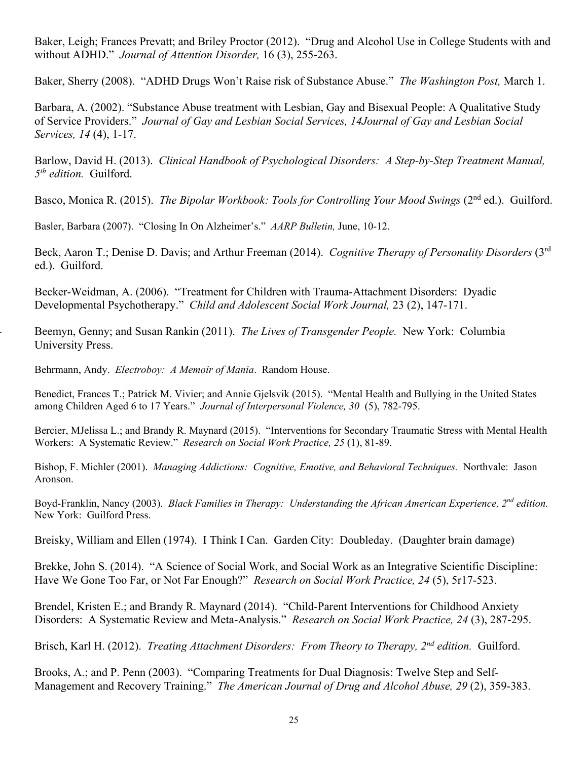Baker, Leigh; Frances Prevatt; and Briley Proctor (2012). "Drug and Alcohol Use in College Students with and without ADHD." *Journal of Attention Disorder,* 16 (3), 255-263.

Baker, Sherry (2008). "ADHD Drugs Won't Raise risk of Substance Abuse." *The Washington Post,* March 1.

Barbara, A. (2002). "Substance Abuse treatment with Lesbian, Gay and Bisexual People: A Qualitative Study of Service Providers." *Journal of Gay and Lesbian Social Services, 14Journal of Gay and Lesbian Social Services, 14* (4), 1-17.

Barlow, David H. (2013). *Clinical Handbook of Psychological Disorders: A Step-by-Step Treatment Manual, 5th edition.* Guilford.

Basco, Monica R. (2015). *The Bipolar Workbook: Tools for Controlling Your Mood Swings* (2<sup>nd</sup> ed.). Guilford.

Basler, Barbara (2007). "Closing In On Alzheimer's." *AARP Bulletin,* June, 10-12.

Beck, Aaron T.; Denise D. Davis; and Arthur Freeman (2014). *Cognitive Therapy of Personality Disorders* (3rd ed.). Guilford.

Becker-Weidman, A. (2006). "Treatment for Children with Trauma-Attachment Disorders: Dyadic Developmental Psychotherapy." *Child and Adolescent Social Work Journal,* 23 (2), 147-171.

- Beemyn, Genny; and Susan Rankin (2011). *The Lives of Transgender People.* New York: Columbia University Press.

Behrmann, Andy. *Electroboy: A Memoir of Mania*. Random House.

Benedict, Frances T.; Patrick M. Vivier; and Annie Gjelsvik (2015). "Mental Health and Bullying in the United States among Children Aged 6 to 17 Years." *Journal of Interpersonal Violence, 30* (5), 782-795.

Bercier, MJelissa L.; and Brandy R. Maynard (2015). "Interventions for Secondary Traumatic Stress with Mental Health Workers: A Systematic Review." *Research on Social Work Practice, 25* (1), 81-89.

Bishop, F. Michler (2001). *Managing Addictions: Cognitive, Emotive, and Behavioral Techniques.* Northvale: Jason Aronson.

Boyd-Franklin, Nancy (2003). *Black Families in Therapy: Understanding the African American Experience, 2nd edition.* New York: Guilford Press.

Breisky, William and Ellen (1974). I Think I Can. Garden City: Doubleday. (Daughter brain damage)

Brekke, John S. (2014). "A Science of Social Work, and Social Work as an Integrative Scientific Discipline: Have We Gone Too Far, or Not Far Enough?" *Research on Social Work Practice, 24* (5), 5r17-523.

Brendel, Kristen E.; and Brandy R. Maynard (2014). "Child-Parent Interventions for Childhood Anxiety Disorders: A Systematic Review and Meta-Analysis." *Research on Social Work Practice, 24* (3), 287-295.

Brisch, Karl H. (2012). *Treating Attachment Disorders: From Theory to Therapy, 2nd edition.* Guilford.

Brooks, A.; and P. Penn (2003). "Comparing Treatments for Dual Diagnosis: Twelve Step and Self-Management and Recovery Training." *The American Journal of Drug and Alcohol Abuse, 29* (2), 359-383.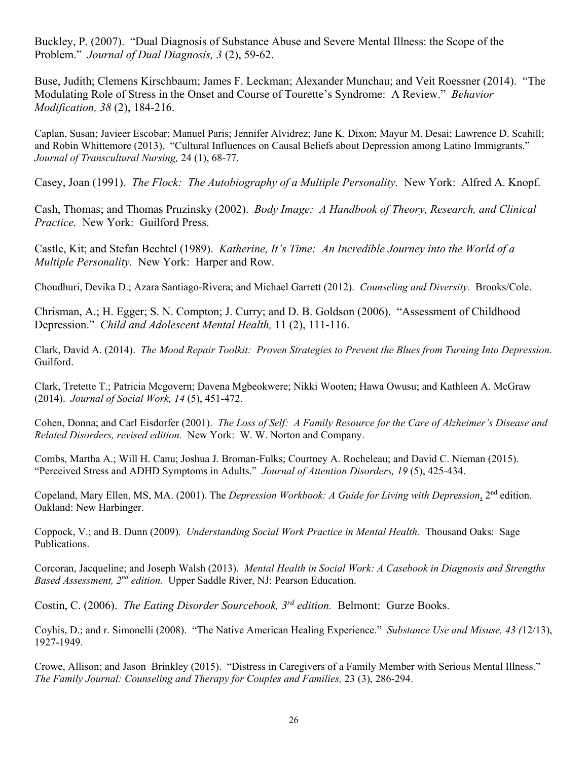Buckley, P. (2007). "Dual Diagnosis of Substance Abuse and Severe Mental Illness: the Scope of the Problem." *Journal of Dual Diagnosis, 3* (2), 59-62.

Buse, Judith; Clemens Kirschbaum; James F. Leckman; Alexander Munchau; and Veit Roessner (2014). "The Modulating Role of Stress in the Onset and Course of Tourette's Syndrome: A Review." *Behavior Modification, 38* (2), 184-216.

Caplan, Susan; Javieer Escobar; Manuel Paris; Jennifer Alvidrez; Jane K. Dixon; Mayur M. Desai; Lawrence D. Scahill; and Robin Whittemore (2013). "Cultural Influences on Causal Beliefs about Depression among Latino Immigrants." *Journal of Transcultural Nursing,* 24 (1), 68-77.

Casey, Joan (1991). *The Flock: The Autobiography of a Multiple Personality.* New York: Alfred A. Knopf.

Cash, Thomas; and Thomas Pruzinsky (2002). *Body Image: A Handbook of Theory, Research, and Clinical Practice.* New York: Guilford Press.

Castle, Kit; and Stefan Bechtel (1989). *Katherine, It's Time: An Incredible Journey into the World of a Multiple Personality.* New York: Harper and Row.

Choudhuri, Devika D.; Azara Santiago-Rivera; and Michael Garrett (2012). *Counseling and Diversity.* Brooks/Cole.

Chrisman, A.; H. Egger; S. N. Compton; J. Curry; and D. B. Goldson (2006). "Assessment of Childhood Depression." *Child and Adolescent Mental Health,* 11 (2), 111-116.

Clark, David A. (2014). *The Mood Repair Toolkit: Proven Strategies to Prevent the Blues from Turning Into Depression.* Guilford.

Clark, Tretette T.; Patricia Mcgovern; Davena Mgbeokwere; Nikki Wooten; Hawa Owusu; and Kathleen A. McGraw (2014). *Journal of Social Work, 14* (5), 451-472.

Cohen, Donna; and Carl Eisdorfer (2001). *The Loss of Self: A Family Resource for the Care of Alzheimer's Disease and Related Disorders, revised edition.* New York: W. W. Norton and Company.

Combs, Martha A.; Will H. Canu; Joshua J. Broman-Fulks; Courtney A. Rocheleau; and David C. Nieman (2015). "Perceived Stress and ADHD Symptoms in Adults." *Journal of Attention Disorders, 19* (5), 425-434.

Copeland, Mary Ellen, MS, MA. (2001). The *Depression Workbook: A Guide for Living with Depression*, 2nd edition. Oakland: New Harbinger.

Coppock, V.; and B. Dunn (2009). *Understanding Social Work Practice in Mental Health.* Thousand Oaks: Sage Publications.

Corcoran, Jacqueline; and Joseph Walsh (2013). *Mental Health in Social Work: A Casebook in Diagnosis and Strengths Based Assessment, 2nd edition.* Upper Saddle River, NJ: Pearson Education.

Costin, C. (2006). *The Eating Disorder Sourcebook, 3rd edition.* Belmont: Gurze Books.

Coyhis, D.; and r. Simonelli (2008). "The Native American Healing Experience." *Substance Use and Misuse, 43 (*12/13), 1927-1949.

Crowe, Allison; and Jason Brinkley (2015). "Distress in Caregivers of a Family Member with Serious Mental Illness." *The Family Journal: Counseling and Therapy for Couples and Families,* 23 (3), 286-294.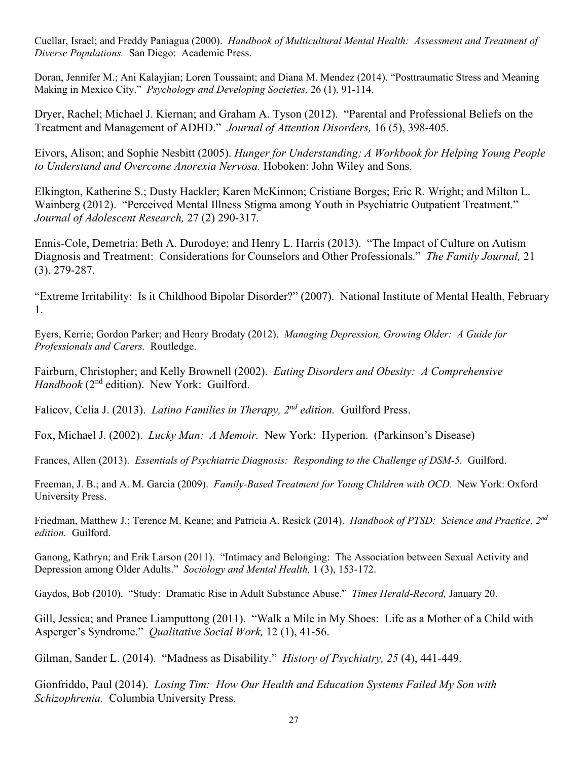Cuellar, Israel; and Freddy Paniagua (2000). *Handbook of Multicultural Mental Health: Assessment and Treatment of Diverse Populations.* San Diego: Academic Press.

Doran, Jennifer M.; Ani Kalayjian; Loren Toussaint; and Diana M. Mendez (2014). "Posttraumatic Stress and Meaning Making in Mexico City." *Psychology and Developing Societies,* 26 (1), 91-114.

Dryer, Rachel; Michael J. Kiernan; and Graham A. Tyson (2012). "Parental and Professional Beliefs on the Treatment and Management of ADHD." *Journal of Attention Disorders,* 16 (5), 398-405.

Eivors, Alison; and Sophie Nesbitt (2005). *Hunger for Understanding; A Workbook for Helping Young People to Understand and Overcome Anorexia Nervosa.* Hoboken: John Wiley and Sons.

Elkington, Katherine S.; Dusty Hackler; Karen McKinnon; Cristiane Borges; Eric R. Wright; and Milton L. Wainberg (2012). "Perceived Mental Illness Stigma among Youth in Psychiatric Outpatient Treatment." *Journal of Adolescent Research,* 27 (2) 290-317.

Ennis-Cole, Demetria; Beth A. Durodoye; and Henry L. Harris (2013). "The Impact of Culture on Autism Diagnosis and Treatment: Considerations for Counselors and Other Professionals." *The Family Journal,* 21 (3), 279-287.

"Extreme Irritability: Is it Childhood Bipolar Disorder?" (2007). National Institute of Mental Health, February 1.

Eyers, Kerrie; Gordon Parker; and Henry Brodaty (2012). *Managing Depression, Growing Older: A Guide for Professionals and Carers.* Routledge.

Fairburn, Christopher; and Kelly Brownell (2002). *Eating Disorders and Obesity: A Comprehensive Handbook* (2<sup>nd</sup> edition). New York: Guilford.

Falicov, Celia J. (2013). *Latino Families in Therapy, 2nd edition.* Guilford Press.

Fox, Michael J. (2002). *Lucky Man: A Memoir.* New York: Hyperion. (Parkinson's Disease)

Frances, Allen (2013). *Essentials of Psychiatric Diagnosis: Responding to the Challenge of DSM-5.* Guilford.

Freeman, J. B.; and A. M. Garcia (2009). *Family-Based Treatment for Young Children with OCD.* New York: Oxford University Press.

Friedman, Matthew J.; Terence M. Keane; and Patricia A. Resick (2014). *Handbook of PTSD: Science and Practice, 2nd edition.* Guilford.

Ganong, Kathryn; and Erik Larson (2011). "Intimacy and Belonging: The Association between Sexual Activity and Depression among Older Adults." *Sociology and Mental Health,* 1 (3), 153-172.

Gaydos, Bob (2010). "Study: Dramatic Rise in Adult Substance Abuse." *Times Herald-Record,* January 20.

Gill, Jessica; and Pranee Liamputtong (2011). "Walk a Mile in My Shoes: Life as a Mother of a Child with Asperger's Syndrome." *Qualitative Social Work,* 12 (1), 41-56.

Gilman, Sander L. (2014). "Madness as Disability." *History of Psychiatry, 25* (4), 441-449.

Gionfriddo, Paul (2014). *Losing Tim: How Our Health and Education Systems Failed My Son with Schizophrenia.* Columbia University Press.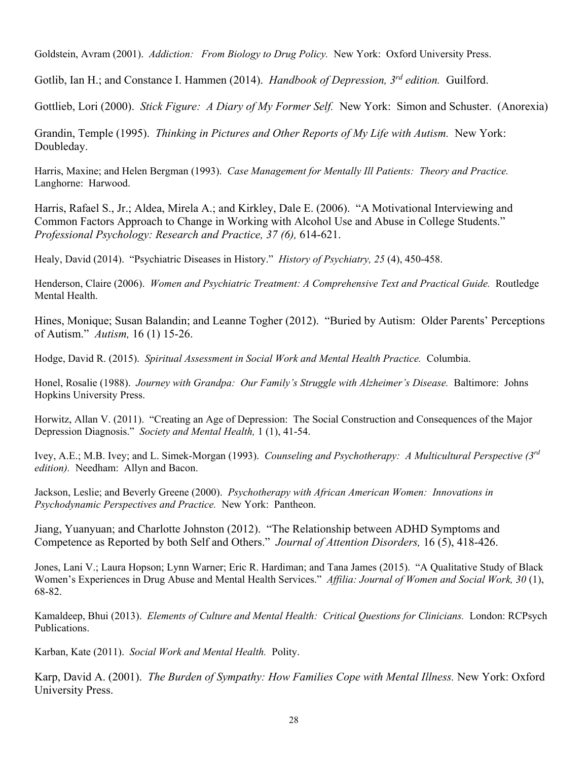Goldstein, Avram (2001). *Addiction: From Biology to Drug Policy.* New York: Oxford University Press.

Gotlib, Ian H.; and Constance I. Hammen (2014). *Handbook of Depression, 3rd edition.* Guilford.

Gottlieb, Lori (2000). *Stick Figure: A Diary of My Former Self.* New York: Simon and Schuster. (Anorexia)

Grandin, Temple (1995). *Thinking in Pictures and Other Reports of My Life with Autism.* New York: Doubleday.

Harris, Maxine; and Helen Bergman (1993). *Case Management for Mentally Ill Patients: Theory and Practice.* Langhorne: Harwood.

Harris, Rafael S., Jr.; Aldea, Mirela A.; and Kirkley, Dale E. (2006). "A Motivational Interviewing and Common Factors Approach to Change in Working with Alcohol Use and Abuse in College Students." *Professional Psychology: Research and Practice, 37 (6),* 614-621.

Healy, David (2014). "Psychiatric Diseases in History." *History of Psychiatry, 25* (4), 450-458.

Henderson, Claire (2006). *Women and Psychiatric Treatment: A Comprehensive Text and Practical Guide.* Routledge Mental Health.

Hines, Monique; Susan Balandin; and Leanne Togher (2012). "Buried by Autism: Older Parents' Perceptions of Autism." *Autism,* 16 (1) 15-26.

Hodge, David R. (2015). *Spiritual Assessment in Social Work and Mental Health Practice.* Columbia.

Honel, Rosalie (1988). *Journey with Grandpa: Our Family's Struggle with Alzheimer's Disease.* Baltimore: Johns Hopkins University Press.

Horwitz, Allan V. (2011). "Creating an Age of Depression: The Social Construction and Consequences of the Major Depression Diagnosis." *Society and Mental Health,* 1 (1), 41-54.

Ivey, A.E.; M.B. Ivey; and L. Simek-Morgan (1993). *Counseling and Psychotherapy: A Multicultural Perspective (3rd edition).* Needham: Allyn and Bacon.

Jackson, Leslie; and Beverly Greene (2000). *Psychotherapy with African American Women: Innovations in Psychodynamic Perspectives and Practice.* New York: Pantheon.

Jiang, Yuanyuan; and Charlotte Johnston (2012). "The Relationship between ADHD Symptoms and Competence as Reported by both Self and Others." *Journal of Attention Disorders,* 16 (5), 418-426.

Jones, Lani V.; Laura Hopson; Lynn Warner; Eric R. Hardiman; and Tana James (2015). "A Qualitative Study of Black Women's Experiences in Drug Abuse and Mental Health Services." *Affilia: Journal of Women and Social Work, 30* (1), 68-82.

Kamaldeep, Bhui (2013). *Elements of Culture and Mental Health: Critical Questions for Clinicians.* London: RCPsych Publications.

Karban, Kate (2011). *Social Work and Mental Health.* Polity.

Karp, David A. (2001). *The Burden of Sympathy: How Families Cope with Mental Illness.* New York: Oxford University Press.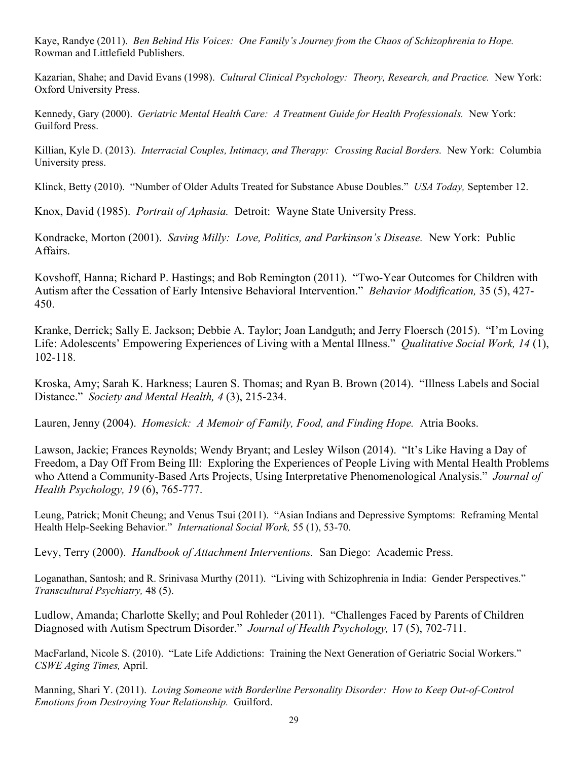Kaye, Randye (2011). *Ben Behind His Voices: One Family's Journey from the Chaos of Schizophrenia to Hope.* Rowman and Littlefield Publishers.

Kazarian, Shahe; and David Evans (1998). *Cultural Clinical Psychology: Theory, Research, and Practice.* New York: Oxford University Press.

Kennedy, Gary (2000). *Geriatric Mental Health Care: A Treatment Guide for Health Professionals.* New York: Guilford Press.

Killian, Kyle D. (2013). *Interracial Couples, Intimacy, and Therapy: Crossing Racial Borders.* New York: Columbia University press.

Klinck, Betty (2010). "Number of Older Adults Treated for Substance Abuse Doubles." *USA Today,* September 12.

Knox, David (1985). *Portrait of Aphasia.* Detroit: Wayne State University Press.

Kondracke, Morton (2001). *Saving Milly: Love, Politics, and Parkinson's Disease.* New York: Public Affairs.

Kovshoff, Hanna; Richard P. Hastings; and Bob Remington (2011). "Two-Year Outcomes for Children with Autism after the Cessation of Early Intensive Behavioral Intervention." *Behavior Modification,* 35 (5), 427- 450.

Kranke, Derrick; Sally E. Jackson; Debbie A. Taylor; Joan Landguth; and Jerry Floersch (2015). "I'm Loving Life: Adolescents' Empowering Experiences of Living with a Mental Illness." *Qualitative Social Work, 14* (1), 102-118.

Kroska, Amy; Sarah K. Harkness; Lauren S. Thomas; and Ryan B. Brown (2014). "Illness Labels and Social Distance." *Society and Mental Health, 4* (3), 215-234.

Lauren, Jenny (2004). *Homesick: A Memoir of Family, Food, and Finding Hope.* Atria Books.

Lawson, Jackie; Frances Reynolds; Wendy Bryant; and Lesley Wilson (2014). "It's Like Having a Day of Freedom, a Day Off From Being Ill: Exploring the Experiences of People Living with Mental Health Problems who Attend a Community-Based Arts Projects, Using Interpretative Phenomenological Analysis." *Journal of Health Psychology, 19* (6), 765-777.

Leung, Patrick; Monit Cheung; and Venus Tsui (2011). "Asian Indians and Depressive Symptoms: Reframing Mental Health Help-Seeking Behavior." *International Social Work,* 55 (1), 53-70.

Levy, Terry (2000). *Handbook of Attachment Interventions.* San Diego: Academic Press.

Loganathan, Santosh; and R. Srinivasa Murthy (2011). "Living with Schizophrenia in India: Gender Perspectives." *Transcultural Psychiatry,* 48 (5).

Ludlow, Amanda; Charlotte Skelly; and Poul Rohleder (2011). "Challenges Faced by Parents of Children Diagnosed with Autism Spectrum Disorder." *Journal of Health Psychology,* 17 (5), 702-711.

MacFarland, Nicole S. (2010). "Late Life Addictions: Training the Next Generation of Geriatric Social Workers." *CSWE Aging Times,* April.

Manning, Shari Y. (2011). *Loving Someone with Borderline Personality Disorder: How to Keep Out-of-Control Emotions from Destroying Your Relationship.* Guilford.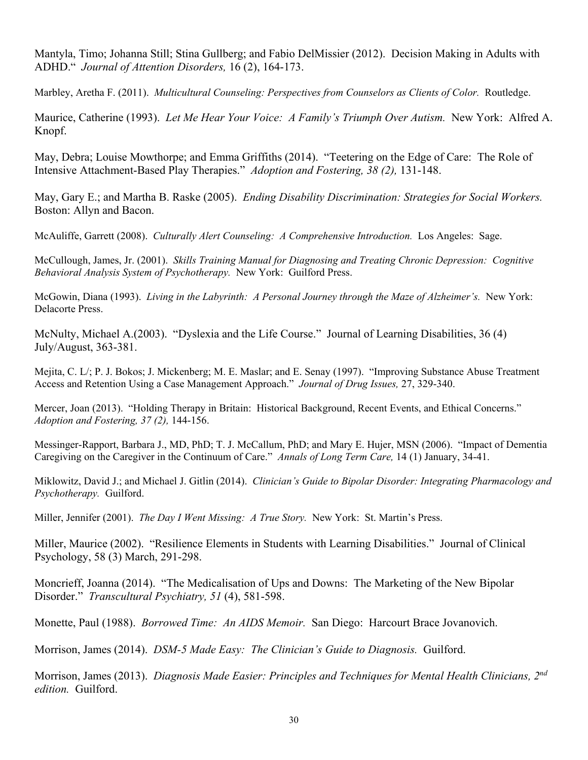Mantyla, Timo; Johanna Still; Stina Gullberg; and Fabio DelMissier (2012). Decision Making in Adults with ADHD." *Journal of Attention Disorders,* 16 (2), 164-173.

Marbley, Aretha F. (2011). *Multicultural Counseling: Perspectives from Counselors as Clients of Color.* Routledge.

Maurice, Catherine (1993). *Let Me Hear Your Voice: A Family's Triumph Over Autism.* New York: Alfred A. Knopf.

May, Debra; Louise Mowthorpe; and Emma Griffiths (2014). "Teetering on the Edge of Care: The Role of Intensive Attachment-Based Play Therapies." *Adoption and Fostering, 38 (2),* 131-148.

May, Gary E.; and Martha B. Raske (2005). *Ending Disability Discrimination: Strategies for Social Workers.*  Boston: Allyn and Bacon.

McAuliffe, Garrett (2008). *Culturally Alert Counseling: A Comprehensive Introduction.* Los Angeles: Sage.

McCullough, James, Jr. (2001). *Skills Training Manual for Diagnosing and Treating Chronic Depression: Cognitive Behavioral Analysis System of Psychotherapy.* New York: Guilford Press.

McGowin, Diana (1993). *Living in the Labyrinth: A Personal Journey through the Maze of Alzheimer's.* New York: Delacorte Press.

McNulty, Michael A.(2003). "Dyslexia and the Life Course." Journal of Learning Disabilities, 36 (4) July/August, 363-381.

Mejita, C. L/; P. J. Bokos; J. Mickenberg; M. E. Maslar; and E. Senay (1997). "Improving Substance Abuse Treatment Access and Retention Using a Case Management Approach." *Journal of Drug Issues,* 27, 329-340.

Mercer, Joan (2013). "Holding Therapy in Britain: Historical Background, Recent Events, and Ethical Concerns." *Adoption and Fostering, 37 (2),* 144-156.

Messinger-Rapport, Barbara J., MD, PhD; T. J. McCallum, PhD; and Mary E. Hujer, MSN (2006). "Impact of Dementia Caregiving on the Caregiver in the Continuum of Care." *Annals of Long Term Care,* 14 (1) January, 34-41.

Miklowitz, David J.; and Michael J. Gitlin (2014). *Clinician's Guide to Bipolar Disorder: Integrating Pharmacology and Psychotherapy.* Guilford.

Miller, Jennifer (2001). *The Day I Went Missing: A True Story.* New York: St. Martin's Press.

Miller, Maurice (2002). "Resilience Elements in Students with Learning Disabilities." Journal of Clinical Psychology, 58 (3) March, 291-298.

Moncrieff, Joanna (2014). "The Medicalisation of Ups and Downs: The Marketing of the New Bipolar Disorder." *Transcultural Psychiatry, 51* (4), 581-598.

Monette, Paul (1988). *Borrowed Time: An AIDS Memoir.* San Diego: Harcourt Brace Jovanovich.

Morrison, James (2014). *DSM-5 Made Easy: The Clinician's Guide to Diagnosis.* Guilford.

Morrison, James (2013). *Diagnosis Made Easier: Principles and Techniques for Mental Health Clinicians, 2nd edition.* Guilford.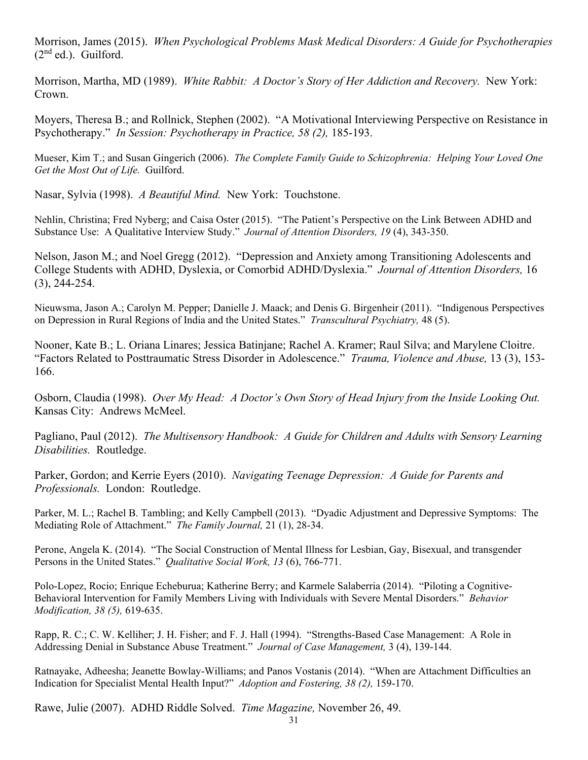Morrison, James (2015). *When Psychological Problems Mask Medical Disorders: A Guide for Psychotherapies*   $(2<sup>nd</sup>$  ed.). Guilford.

Morrison, Martha, MD (1989). *White Rabbit: A Doctor's Story of Her Addiction and Recovery.* New York: Crown.

Moyers, Theresa B.; and Rollnick, Stephen (2002). "A Motivational Interviewing Perspective on Resistance in Psychotherapy." *In Session: Psychotherapy in Practice, 58 (2),* 185-193.

Mueser, Kim T.; and Susan Gingerich (2006). *The Complete Family Guide to Schizophrenia: Helping Your Loved One Get the Most Out of Life.* Guilford.

Nasar, Sylvia (1998). *A Beautiful Mind.* New York: Touchstone.

Nehlin, Christina; Fred Nyberg; and Caisa Oster (2015). "The Patient's Perspective on the Link Between ADHD and Substance Use: A Qualitative Interview Study." *Journal of Attention Disorders, 19* (4), 343-350.

Nelson, Jason M.; and Noel Gregg (2012). "Depression and Anxiety among Transitioning Adolescents and College Students with ADHD, Dyslexia, or Comorbid ADHD/Dyslexia." *Journal of Attention Disorders,* 16 (3), 244-254.

Nieuwsma, Jason A.; Carolyn M. Pepper; Danielle J. Maack; and Denis G. Birgenheir (2011). "Indigenous Perspectives on Depression in Rural Regions of India and the United States." *Transcultural Psychiatry,* 48 (5).

Nooner, Kate B.; L. Oriana Linares; Jessica Batinjane; Rachel A. Kramer; Raul Silva; and Marylene Cloitre. "Factors Related to Posttraumatic Stress Disorder in Adolescence." *Trauma, Violence and Abuse,* 13 (3), 153- 166.

Osborn, Claudia (1998). *Over My Head: A Doctor's Own Story of Head Injury from the Inside Looking Out.* Kansas City: Andrews McMeel.

Pagliano, Paul (2012). *The Multisensory Handbook: A Guide for Children and Adults with Sensory Learning Disabilities.* Routledge.

Parker, Gordon; and Kerrie Eyers (2010). *Navigating Teenage Depression: A Guide for Parents and Professionals.* London: Routledge.

Parker, M. L.; Rachel B. Tambling; and Kelly Campbell (2013). "Dyadic Adjustment and Depressive Symptoms: The Mediating Role of Attachment." *The Family Journal,* 21 (1), 28-34.

Perone, Angela K. (2014). "The Social Construction of Mental Illness for Lesbian, Gay, Bisexual, and transgender Persons in the United States." *Qualitative Social Work, 13* (6), 766-771.

Polo-Lopez, Rocio; Enrique Echeburua; Katherine Berry; and Karmele Salaberria (2014). "Piloting a Cognitive-Behavioral Intervention for Family Members Living with Individuals with Severe Mental Disorders." *Behavior Modification, 38 (5),* 619-635.

Rapp, R. C.; C. W. Kelliher; J. H. Fisher; and F. J. Hall (1994). "Strengths-Based Case Management: A Role in Addressing Denial in Substance Abuse Treatment." *Journal of Case Management,* 3 (4), 139-144.

Ratnayake, Adheesha; Jeanette Bowlay-Williams; and Panos Vostanis (2014). "When are Attachment Difficulties an Indication for Specialist Mental Health Input?" *Adoption and Fostering, 38 (2),* 159-170.

Rawe, Julie (2007). ADHD Riddle Solved. *Time Magazine,* November 26, 49.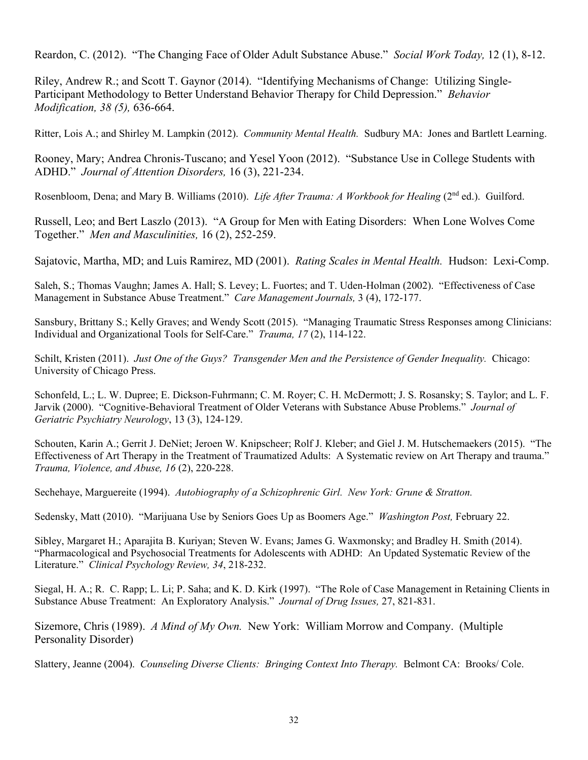Reardon, C. (2012). "The Changing Face of Older Adult Substance Abuse." *Social Work Today,* 12 (1), 8-12.

Riley, Andrew R.; and Scott T. Gaynor (2014). "Identifying Mechanisms of Change: Utilizing Single-Participant Methodology to Better Understand Behavior Therapy for Child Depression." *Behavior Modification, 38 (5),* 636-664.

Ritter, Lois A.; and Shirley M. Lampkin (2012). *Community Mental Health.* Sudbury MA: Jones and Bartlett Learning.

Rooney, Mary; Andrea Chronis-Tuscano; and Yesel Yoon (2012). "Substance Use in College Students with ADHD." *Journal of Attention Disorders,* 16 (3), 221-234.

Rosenbloom, Dena; and Mary B. Williams (2010). *Life After Trauma: A Workbook for Healing* (2<sup>nd</sup> ed.). Guilford.

Russell, Leo; and Bert Laszlo (2013). "A Group for Men with Eating Disorders: When Lone Wolves Come Together." *Men and Masculinities,* 16 (2), 252-259.

Sajatovic, Martha, MD; and Luis Ramirez, MD (2001). *Rating Scales in Mental Health.* Hudson: Lexi-Comp.

Saleh, S.; Thomas Vaughn; James A. Hall; S. Levey; L. Fuortes; and T. Uden-Holman (2002). "Effectiveness of Case Management in Substance Abuse Treatment." *Care Management Journals,* 3 (4), 172-177.

Sansbury, Brittany S.; Kelly Graves; and Wendy Scott (2015). "Managing Traumatic Stress Responses among Clinicians: Individual and Organizational Tools for Self-Care." *Trauma, 17* (2), 114-122.

Schilt, Kristen (2011). *Just One of the Guys? Transgender Men and the Persistence of Gender Inequality.* Chicago: University of Chicago Press.

Schonfeld, L.; L. W. Dupree; E. Dickson-Fuhrmann; C. M. Royer; C. H. McDermott; J. S. Rosansky; S. Taylor; and L. F. Jarvik (2000). "Cognitive-Behavioral Treatment of Older Veterans with Substance Abuse Problems." *Journal of Geriatric Psychiatry Neurology*, 13 (3), 124-129.

Schouten, Karin A.; Gerrit J. DeNiet; Jeroen W. Knipscheer; Rolf J. Kleber; and Giel J. M. Hutschemaekers (2015). "The Effectiveness of Art Therapy in the Treatment of Traumatized Adults: A Systematic review on Art Therapy and trauma." *Trauma, Violence, and Abuse, 16* (2), 220-228.

Sechehaye, Marguereite (1994). *Autobiography of a Schizophrenic Girl. New York: Grune & Stratton.*

Sedensky, Matt (2010). "Marijuana Use by Seniors Goes Up as Boomers Age." *Washington Post,* February 22.

Sibley, Margaret H.; Aparajita B. Kuriyan; Steven W. Evans; James G. Waxmonsky; and Bradley H. Smith (2014). "Pharmacological and Psychosocial Treatments for Adolescents with ADHD: An Updated Systematic Review of the Literature." *Clinical Psychology Review, 34*, 218-232.

Siegal, H. A.; R. C. Rapp; L. Li; P. Saha; and K. D. Kirk (1997). "The Role of Case Management in Retaining Clients in Substance Abuse Treatment: An Exploratory Analysis." *Journal of Drug Issues,* 27, 821-831.

Sizemore, Chris (1989). *A Mind of My Own.* New York: William Morrow and Company. (Multiple Personality Disorder)

Slattery, Jeanne (2004). *Counseling Diverse Clients: Bringing Context Into Therapy.* Belmont CA: Brooks/ Cole.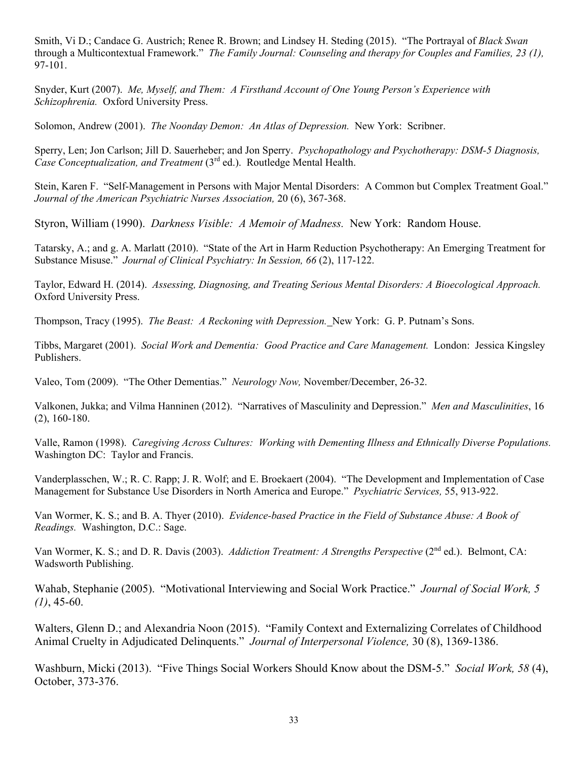Smith, Vi D.; Candace G. Austrich; Renee R. Brown; and Lindsey H. Steding (2015). "The Portrayal of *Black Swan* through a Multicontextual Framework." *The Family Journal: Counseling and therapy for Couples and Families, 23 (1),*  97-101.

Snyder, Kurt (2007). *Me, Myself, and Them: A Firsthand Account of One Young Person's Experience with Schizophrenia.* Oxford University Press.

Solomon, Andrew (2001). *The Noonday Demon: An Atlas of Depression.* New York: Scribner.

Sperry, Len; Jon Carlson; Jill D. Sauerheber; and Jon Sperry. *Psychopathology and Psychotherapy: DSM-5 Diagnosis, Case Conceptualization, and Treatment* (3<sup>rd</sup> ed.). Routledge Mental Health.

Stein, Karen F. "Self-Management in Persons with Major Mental Disorders: A Common but Complex Treatment Goal." *Journal of the American Psychiatric Nurses Association,* 20 (6), 367-368.

Styron, William (1990). *Darkness Visible: A Memoir of Madness.* New York: Random House.

Tatarsky, A.; and g. A. Marlatt (2010). "State of the Art in Harm Reduction Psychotherapy: An Emerging Treatment for Substance Misuse." *Journal of Clinical Psychiatry: In Session, 66* (2), 117-122.

Taylor, Edward H. (2014). *Assessing, Diagnosing, and Treating Serious Mental Disorders: A Bioecological Approach.* Oxford University Press.

Thompson, Tracy (1995). *The Beast: A Reckoning with Depression.* New York: G. P. Putnam's Sons.

Tibbs, Margaret (2001). *Social Work and Dementia: Good Practice and Care Management.* London: Jessica Kingsley Publishers.

Valeo, Tom (2009). "The Other Dementias." *Neurology Now,* November/December, 26-32.

Valkonen, Jukka; and Vilma Hanninen (2012). "Narratives of Masculinity and Depression." *Men and Masculinities*, 16 (2), 160-180.

Valle, Ramon (1998). *Caregiving Across Cultures: Working with Dementing Illness and Ethnically Diverse Populations.* Washington DC: Taylor and Francis.

Vanderplasschen, W.; R. C. Rapp; J. R. Wolf; and E. Broekaert (2004). "The Development and Implementation of Case Management for Substance Use Disorders in North America and Europe." *Psychiatric Services,* 55, 913-922.

Van Wormer, K. S.; and B. A. Thyer (2010). *Evidence-based Practice in the Field of Substance Abuse: A Book of Readings.* Washington, D.C.: Sage.

Van Wormer, K. S.; and D. R. Davis (2003). *Addiction Treatment: A Strengths Perspective* (2<sup>nd</sup> ed.). Belmont, CA: Wadsworth Publishing.

Wahab, Stephanie (2005). "Motivational Interviewing and Social Work Practice." *Journal of Social Work, 5 (1)*, 45-60.

Walters, Glenn D.; and Alexandria Noon (2015). "Family Context and Externalizing Correlates of Childhood Animal Cruelty in Adjudicated Delinquents." *Journal of Interpersonal Violence,* 30 (8), 1369-1386.

Washburn, Micki (2013). "Five Things Social Workers Should Know about the DSM-5." *Social Work, 58* (4), October, 373-376.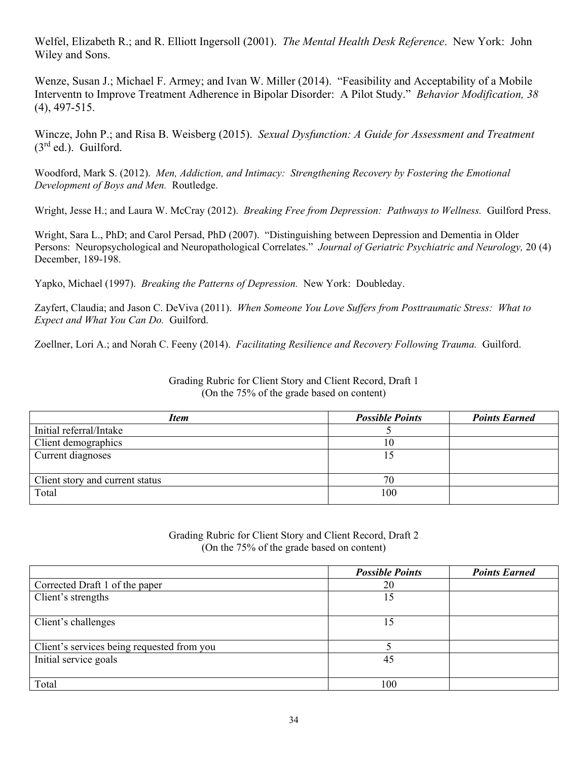Welfel, Elizabeth R.; and R. Elliott Ingersoll (2001). *The Mental Health Desk Reference*. New York: John Wiley and Sons.

Wenze, Susan J.; Michael F. Armey; and Ivan W. Miller (2014). "Feasibility and Acceptability of a Mobile Interventn to Improve Treatment Adherence in Bipolar Disorder: A Pilot Study." *Behavior Modification, 38*  (4), 497-515.

Wincze, John P.; and Risa B. Weisberg (2015). *Sexual Dysfunction: A Guide for Assessment and Treatment*   $(3<sup>rd</sup>$  ed.). Guilford.

Woodford, Mark S. (2012). *Men, Addiction, and Intimacy: Strengthening Recovery by Fostering the Emotional Development of Boys and Men.* Routledge.

Wright, Jesse H.; and Laura W. McCray (2012). *Breaking Free from Depression: Pathways to Wellness.* Guilford Press.

Wright, Sara L., PhD; and Carol Persad, PhD (2007). "Distinguishing between Depression and Dementia in Older Persons: Neuropsychological and Neuropathological Correlates." *Journal of Geriatric Psychiatric and Neurology,* 20 (4) December, 189-198.

Yapko, Michael (1997). *Breaking the Patterns of Depression.* New York: Doubleday.

Zayfert, Claudia; and Jason C. DeViva (2011). *When Someone You Love Suffers from Posttraumatic Stress: What to Expect and What You Can Do.* Guilford.

Zoellner, Lori A.; and Norah C. Feeny (2014). *Facilitating Resilience and Recovery Following Trauma.* Guilford.

Grading Rubric for Client Story and Client Record, Draft 1 (On the 75% of the grade based on content)

| <b>Item</b>                     | <b>Possible Points</b> | <b>Points Earned</b> |
|---------------------------------|------------------------|----------------------|
| Initial referral/Intake         |                        |                      |
| Client demographics             | 10                     |                      |
| Current diagnoses               |                        |                      |
|                                 |                        |                      |
| Client story and current status | 70                     |                      |
| Total                           | 100                    |                      |
|                                 |                        |                      |

Grading Rubric for Client Story and Client Record, Draft 2 (On the 75% of the grade based on content)

|                                            | <b>Possible Points</b> | <b>Points Earned</b> |
|--------------------------------------------|------------------------|----------------------|
| Corrected Draft 1 of the paper             | 20                     |                      |
| Client's strengths                         | 15                     |                      |
| Client's challenges                        | 15                     |                      |
| Client's services being requested from you |                        |                      |
| Initial service goals                      | 45                     |                      |
| Total                                      | 100                    |                      |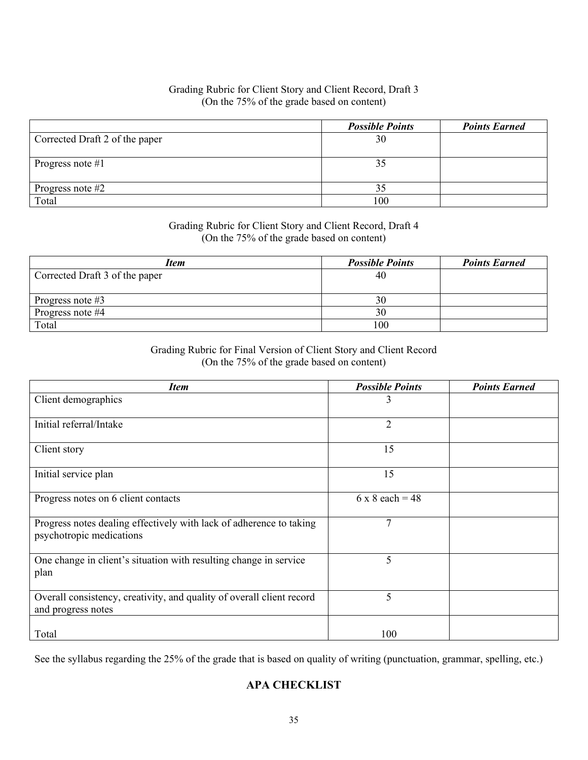### Grading Rubric for Client Story and Client Record, Draft 3 (On the 75% of the grade based on content)

|                                | <b>Possible Points</b> | <b>Points Earned</b> |
|--------------------------------|------------------------|----------------------|
| Corrected Draft 2 of the paper | 30                     |                      |
|                                |                        |                      |
| Progress note $#1$             |                        |                      |
|                                |                        |                      |
| Progress note $#2$             |                        |                      |
| Total                          | 100                    |                      |

#### Grading Rubric for Client Story and Client Record, Draft 4 (On the 75% of the grade based on content)

| <b>Item</b>                    | <b>Possible Points</b> | <b>Points Earned</b> |
|--------------------------------|------------------------|----------------------|
| Corrected Draft 3 of the paper | 40                     |                      |
|                                |                        |                      |
| Progress note $#3$             | 30                     |                      |
| Progress note #4               | 30                     |                      |
| Total                          | 100                    |                      |

Grading Rubric for Final Version of Client Story and Client Record (On the 75% of the grade based on content)

| <b>Item</b>                                                                                     | <b>Possible Points</b> | <b>Points Earned</b> |
|-------------------------------------------------------------------------------------------------|------------------------|----------------------|
| Client demographics                                                                             | 3                      |                      |
| Initial referral/Intake                                                                         | $\overline{2}$         |                      |
| Client story                                                                                    | 15                     |                      |
| Initial service plan                                                                            | 15                     |                      |
| Progress notes on 6 client contacts                                                             | $6 \times 8$ each = 48 |                      |
| Progress notes dealing effectively with lack of adherence to taking<br>psychotropic medications | $\overline{7}$         |                      |
| One change in client's situation with resulting change in service<br>plan                       | 5                      |                      |
| Overall consistency, creativity, and quality of overall client record<br>and progress notes     | 5                      |                      |
| Total                                                                                           | 100                    |                      |

See the syllabus regarding the 25% of the grade that is based on quality of writing (punctuation, grammar, spelling, etc.)

### **APA CHECKLIST**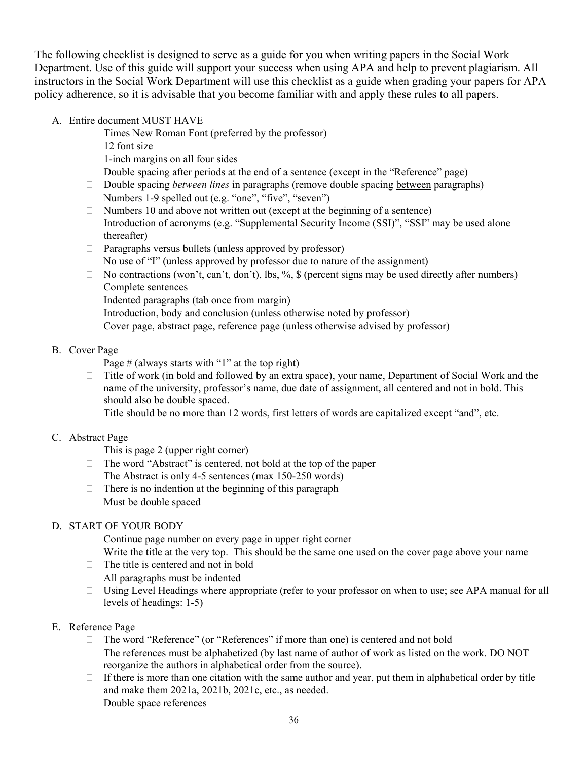The following checklist is designed to serve as a guide for you when writing papers in the Social Work Department. Use of this guide will support your success when using APA and help to prevent plagiarism. All instructors in the Social Work Department will use this checklist as a guide when grading your papers for APA policy adherence, so it is advisable that you become familiar with and apply these rules to all papers.

- A. Entire document MUST HAVE
	- $\Box$  Times New Roman Font (preferred by the professor)
	- $\Box$  12 font size
	- $\Box$  1-inch margins on all four sides
	- $\Box$  Double spacing after periods at the end of a sentence (except in the "Reference" page)
	- Double spacing *between lines* in paragraphs (remove double spacing between paragraphs)
	- □ Numbers 1-9 spelled out (e.g. "one", "five", "seven")
	- $\Box$  Numbers 10 and above not written out (except at the beginning of a sentence)
	- □ Introduction of acronyms (e.g. "Supplemental Security Income (SSI)", "SSI" may be used alone thereafter)
	- $\Box$  Paragraphs versus bullets (unless approved by professor)
	- $\Box$  No use of "I" (unless approved by professor due to nature of the assignment)
	- $\Box$  No contractions (won't, can't, don't), lbs, %, \$ (percent signs may be used directly after numbers)
	- $\Box$  Complete sentences
	- $\Box$  Indented paragraphs (tab once from margin)
	- $\Box$  Introduction, body and conclusion (unless otherwise noted by professor)
	- $\Box$  Cover page, abstract page, reference page (unless otherwise advised by professor)

#### B. Cover Page

- $\Box$  Page # (always starts with "1" at the top right)
- $\Box$  Title of work (in bold and followed by an extra space), your name, Department of Social Work and the name of the university, professor's name, due date of assignment, all centered and not in bold. This should also be double spaced.
- $\Box$  Title should be no more than 12 words, first letters of words are capitalized except "and", etc.

#### C. Abstract Page

- $\Box$  This is page 2 (upper right corner)
- $\Box$  The word "Abstract" is centered, not bold at the top of the paper
- $\Box$  The Abstract is only 4-5 sentences (max 150-250 words)
- $\Box$  There is no indention at the beginning of this paragraph
- Must be double spaced

### D. START OF YOUR BODY

- $\Box$  Continue page number on every page in upper right corner
- $\Box$  Write the title at the very top. This should be the same one used on the cover page above your name
- $\Box$  The title is centered and not in bold
- All paragraphs must be indented
- $\Box$  Using Level Headings where appropriate (refer to your professor on when to use; see APA manual for all levels of headings: 1-5)

#### E. Reference Page

- □ The word "Reference" (or "References" if more than one) is centered and not bold
- $\Box$  The references must be alphabetized (by last name of author of work as listed on the work. DO NOT reorganize the authors in alphabetical order from the source).
- $\Box$  If there is more than one citation with the same author and year, put them in alphabetical order by title and make them 2021a, 2021b, 2021c, etc., as needed.
- Double space references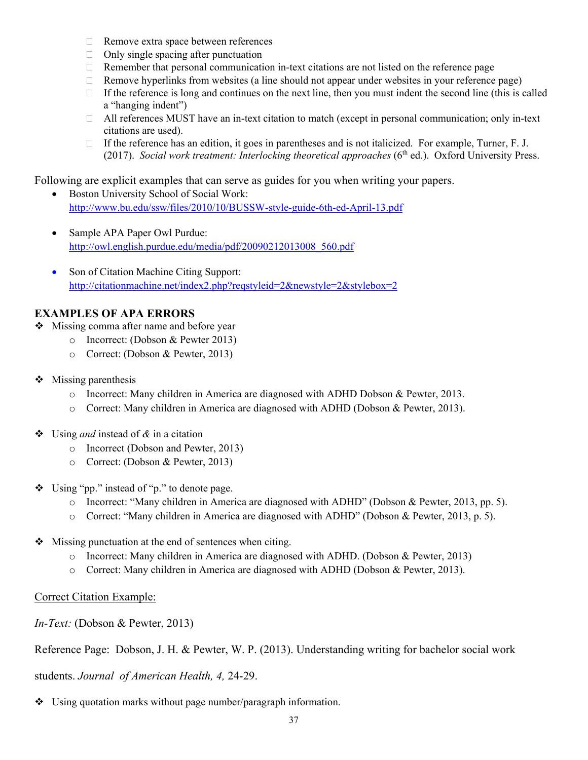- □ Remove extra space between references
- $\Box$  Only single spacing after punctuation
- $\Box$  Remember that personal communication in-text citations are not listed on the reference page
- $\Box$  Remove hyperlinks from websites (a line should not appear under websites in your reference page)
- If the reference is long and continues on the next line, then you must indent the second line (this is called a "hanging indent")
- $\Box$  All references MUST have an in-text citation to match (except in personal communication; only in-text citations are used).
- $\Box$  If the reference has an edition, it goes in parentheses and is not italicized. For example, Turner, F. J. (2017). *Social work treatment: Interlocking theoretical approaches*  $(6<sup>th</sup>$  ed.). Oxford University Press.

Following are explicit examples that can serve as guides for you when writing your papers.

- Boston University School of Social Work: <http://www.bu.edu/ssw/files/2010/10/BUSSW-style-guide-6th-ed-April-13.pdf>
- Sample APA Paper Owl Purdue: [http://owl.english.purdue.edu/media/pdf/20090212013008\\_560.pdf](http://owl.english.purdue.edu/media/pdf/20090212013008_560.pdf)
- Son of Citation Machine Citing Support: <http://citationmachine.net/index2.php?reqstyleid=2&newstyle=2&stylebox=2>

# **EXAMPLES OF APA ERRORS**

- ❖ Missing comma after name and before year
	- o Incorrect: (Dobson & Pewter 2013)
		- o Correct: (Dobson & Pewter, 2013)
- $\triangleleft$  Missing parenthesis
	- o Incorrect: Many children in America are diagnosed with ADHD Dobson & Pewter, 2013.
	- o Correct: Many children in America are diagnosed with ADHD (Dobson & Pewter, 2013).
- Using *and* instead of *&* in a citation
	- o Incorrect (Dobson and Pewter, 2013)
	- o Correct: (Dobson & Pewter, 2013)
- $\bullet$  Using "pp." instead of "p." to denote page.
	- o Incorrect: "Many children in America are diagnosed with ADHD" (Dobson & Pewter, 2013, pp. 5).
	- o Correct: "Many children in America are diagnosed with ADHD" (Dobson & Pewter, 2013, p. 5).
- $\bullet$  Missing punctuation at the end of sentences when citing.
	- o Incorrect: Many children in America are diagnosed with ADHD. (Dobson & Pewter, 2013)
	- o Correct: Many children in America are diagnosed with ADHD (Dobson & Pewter, 2013).

# Correct Citation Example:

*In-Text:* (Dobson & Pewter, 2013)

Reference Page: Dobson, J. H. & Pewter, W. P. (2013). Understanding writing for bachelor social work

students. *Journal of American Health, 4,* 24-29.

Using quotation marks without page number/paragraph information.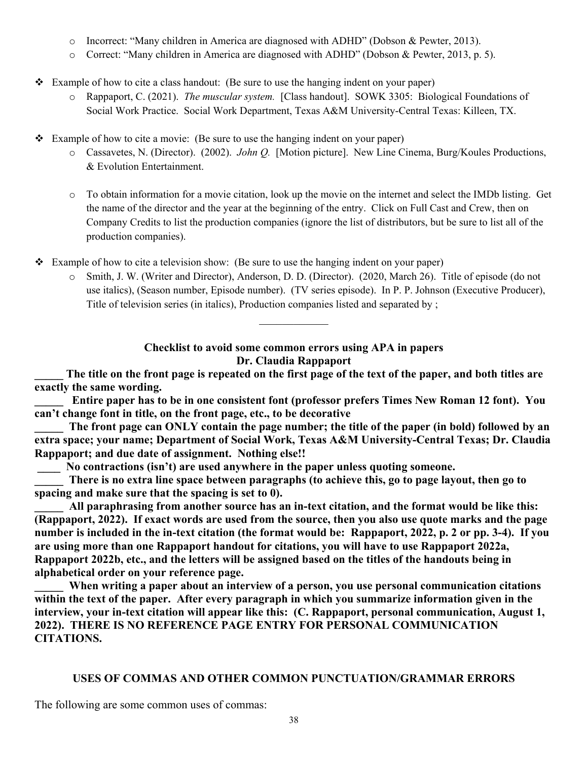- o Incorrect: "Many children in America are diagnosed with ADHD" (Dobson & Pewter, 2013).
- o Correct: "Many children in America are diagnosed with ADHD" (Dobson & Pewter, 2013, p. 5).
- $\bullet$  Example of how to cite a class handout: (Be sure to use the hanging indent on your paper)
	- o Rappaport, C. (2021). *The muscular system.* [Class handout]. SOWK 3305: Biological Foundations of Social Work Practice. Social Work Department, Texas A&M University-Central Texas: Killeen, TX.
- Example of how to cite a movie: (Be sure to use the hanging indent on your paper)
	- o Cassavetes, N. (Director). (2002). *John Q.* [Motion picture]. New Line Cinema, Burg/Koules Productions, & Evolution Entertainment.
	- o To obtain information for a movie citation, look up the movie on the internet and select the IMDb listing. Get the name of the director and the year at the beginning of the entry. Click on Full Cast and Crew, then on Company Credits to list the production companies (ignore the list of distributors, but be sure to list all of the production companies).
- $\div$  Example of how to cite a television show: (Be sure to use the hanging indent on your paper)
	- o Smith, J. W. (Writer and Director), Anderson, D. D. (Director). (2020, March 26). Title of episode (do not use italics), (Season number, Episode number). (TV series episode). In P. P. Johnson (Executive Producer), Title of television series (in italics), Production companies listed and separated by ;

**Checklist to avoid some common errors using APA in papers Dr. Claudia Rappaport**

 $\mathcal{L}_\text{max}$ 

**\_\_\_\_\_ The title on the front page is repeated on the first page of the text of the paper, and both titles are exactly the same wording.**

**\_\_\_\_\_ Entire paper has to be in one consistent font (professor prefers Times New Roman 12 font). You can't change font in title, on the front page, etc., to be decorative**

**\_\_\_\_\_ The front page can ONLY contain the page number; the title of the paper (in bold) followed by an extra space; your name; Department of Social Work, Texas A&M University-Central Texas; Dr. Claudia Rappaport; and due date of assignment. Nothing else!!**

**\_\_\_\_ No contractions (isn't) are used anywhere in the paper unless quoting someone.**

There is no extra line space between paragraphs (to achieve this, go to page layout, then go to **spacing and make sure that the spacing is set to 0).**

All paraphrasing from another source has an in-text citation, and the format would be like this: **(Rappaport, 2022). If exact words are used from the source, then you also use quote marks and the page number is included in the in-text citation (the format would be: Rappaport, 2022, p. 2 or pp. 3-4). If you are using more than one Rappaport handout for citations, you will have to use Rappaport 2022a, Rappaport 2022b, etc., and the letters will be assigned based on the titles of the handouts being in alphabetical order on your reference page.**

When writing a paper about an interview of a person, you use personal communication citations **within the text of the paper. After every paragraph in which you summarize information given in the interview, your in-text citation will appear like this: (C. Rappaport, personal communication, August 1, 2022). THERE IS NO REFERENCE PAGE ENTRY FOR PERSONAL COMMUNICATION CITATIONS.**

# **USES OF COMMAS AND OTHER COMMON PUNCTUATION/GRAMMAR ERRORS**

The following are some common uses of commas: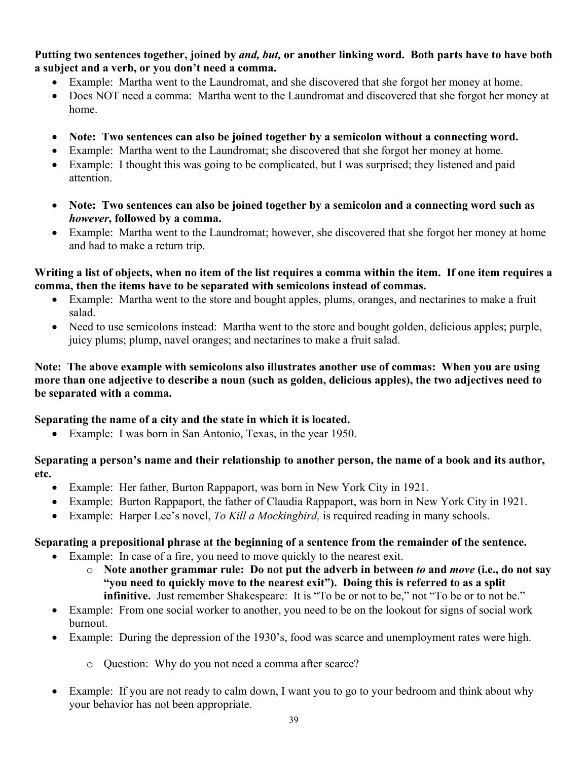# **Putting two sentences together, joined by** *and, but,* **or another linking word. Both parts have to have both a subject and a verb, or you don't need a comma.**

- Example: Martha went to the Laundromat, and she discovered that she forgot her money at home.
- Does NOT need a comma: Martha went to the Laundromat and discovered that she forgot her money at home.
- **Note: Two sentences can also be joined together by a semicolon without a connecting word.**
- Example: Martha went to the Laundromat; she discovered that she forgot her money at home.
- Example: I thought this was going to be complicated, but I was surprised; they listened and paid attention.
- **Note: Two sentences can also be joined together by a semicolon and a connecting word such as**  *however***, followed by a comma.**
- Example: Martha went to the Laundromat; however, she discovered that she forgot her money at home and had to make a return trip.

**Writing a list of objects, when no item of the list requires a comma within the item. If one item requires a comma, then the items have to be separated with semicolons instead of commas.**

- Example: Martha went to the store and bought apples, plums, oranges, and nectarines to make a fruit salad.
- Need to use semicolons instead: Martha went to the store and bought golden, delicious apples; purple, juicy plums; plump, navel oranges; and nectarines to make a fruit salad.

**Note: The above example with semicolons also illustrates another use of commas: When you are using more than one adjective to describe a noun (such as golden, delicious apples), the two adjectives need to be separated with a comma.**

# **Separating the name of a city and the state in which it is located.**

• Example: I was born in San Antonio, Texas, in the year 1950.

# **Separating a person's name and their relationship to another person, the name of a book and its author, etc.**

- Example: Her father, Burton Rappaport, was born in New York City in 1921.
- Example: Burton Rappaport, the father of Claudia Rappaport, was born in New York City in 1921.
- Example: Harper Lee's novel, *To Kill a Mockingbird,* is required reading in many schools.

# **Separating a prepositional phrase at the beginning of a sentence from the remainder of the sentence.**

- Example: In case of a fire, you need to move quickly to the nearest exit.
	- o **Note another grammar rule: Do not put the adverb in between** *to* **and** *move* **(i.e., do not say "you need to quickly move to the nearest exit"). Doing this is referred to as a split infinitive.** Just remember Shakespeare: It is "To be or not to be," not "To be or to not be."
- Example: From one social worker to another, you need to be on the lookout for signs of social work burnout.
- Example: During the depression of the 1930's, food was scarce and unemployment rates were high.
	- o Question: Why do you not need a comma after scarce?
- Example: If you are not ready to calm down, I want you to go to your bedroom and think about why your behavior has not been appropriate.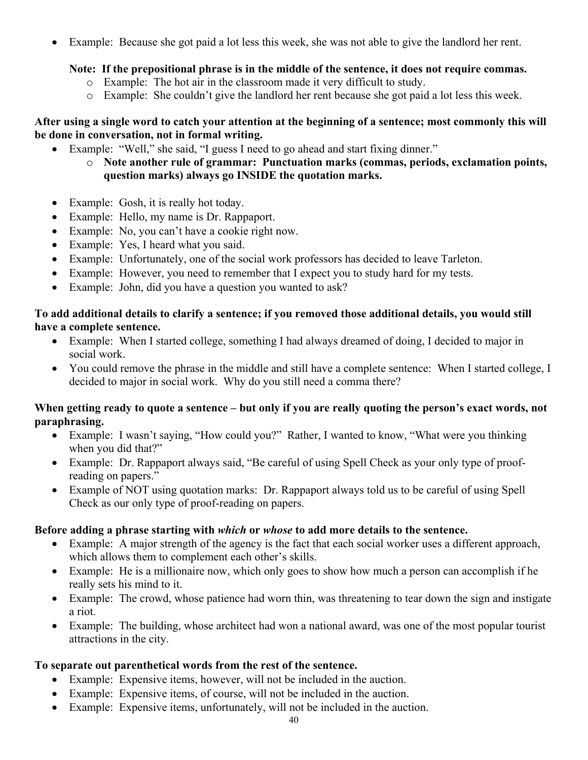• Example: Because she got paid a lot less this week, she was not able to give the landlord her rent.

# **Note: If the prepositional phrase is in the middle of the sentence, it does not require commas.**

- o Example: The hot air in the classroom made it very difficult to study.
- o Example: She couldn't give the landlord her rent because she got paid a lot less this week.

# **After using a single word to catch your attention at the beginning of a sentence; most commonly this will be done in conversation, not in formal writing.**

- Example: "Well," she said, "I guess I need to go ahead and start fixing dinner."
	- o **Note another rule of grammar: Punctuation marks (commas, periods, exclamation points, question marks) always go INSIDE the quotation marks.**
- Example: Gosh, it is really hot today.
- Example: Hello, my name is Dr. Rappaport.
- Example: No, you can't have a cookie right now.
- Example: Yes, I heard what you said.
- Example: Unfortunately, one of the social work professors has decided to leave Tarleton.
- Example: However, you need to remember that I expect you to study hard for my tests.
- Example: John, did you have a question you wanted to ask?

# **To add additional details to clarify a sentence; if you removed those additional details, you would still have a complete sentence.**

- Example: When I started college, something I had always dreamed of doing, I decided to major in social work.
- You could remove the phrase in the middle and still have a complete sentence: When I started college, I decided to major in social work. Why do you still need a comma there?

# **When getting ready to quote a sentence – but only if you are really quoting the person's exact words, not paraphrasing.**

- Example: I wasn't saying, "How could you?" Rather, I wanted to know, "What were you thinking when you did that?"
- Example: Dr. Rappaport always said, "Be careful of using Spell Check as your only type of proofreading on papers."
- Example of NOT using quotation marks: Dr. Rappaport always told us to be careful of using Spell Check as our only type of proof-reading on papers.

# **Before adding a phrase starting with** *which* **or** *whose* **to add more details to the sentence.**

- Example: A major strength of the agency is the fact that each social worker uses a different approach, which allows them to complement each other's skills.
- Example: He is a millionaire now, which only goes to show how much a person can accomplish if he really sets his mind to it.
- Example: The crowd, whose patience had worn thin, was threatening to tear down the sign and instigate a riot.
- Example: The building, whose architect had won a national award, was one of the most popular tourist attractions in the city.

# **To separate out parenthetical words from the rest of the sentence.**

- Example: Expensive items, however, will not be included in the auction.
- Example: Expensive items, of course, will not be included in the auction.
- Example: Expensive items, unfortunately, will not be included in the auction.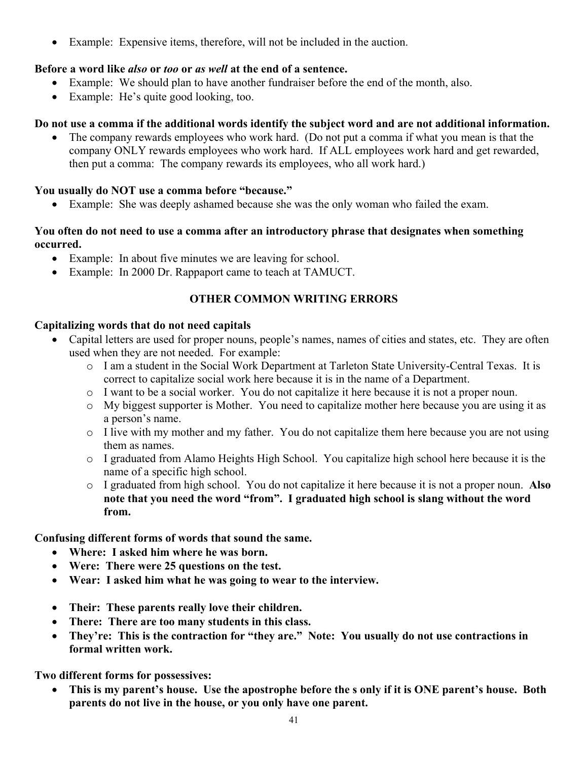• Example: Expensive items, therefore, will not be included in the auction.

# **Before a word like** *also* **or** *too* **or** *as well* **at the end of a sentence.**

- Example: We should plan to have another fundraiser before the end of the month, also.
- Example: He's quite good looking, too.

# **Do not use a comma if the additional words identify the subject word and are not additional information.**

• The company rewards employees who work hard. (Do not put a comma if what you mean is that the company ONLY rewards employees who work hard. If ALL employees work hard and get rewarded, then put a comma: The company rewards its employees, who all work hard.)

# **You usually do NOT use a comma before "because."**

• Example: She was deeply ashamed because she was the only woman who failed the exam.

# **You often do not need to use a comma after an introductory phrase that designates when something occurred.**

- Example: In about five minutes we are leaving for school.
- Example: In 2000 Dr. Rappaport came to teach at TAMUCT.

# **OTHER COMMON WRITING ERRORS**

# **Capitalizing words that do not need capitals**

- Capital letters are used for proper nouns, people's names, names of cities and states, etc. They are often used when they are not needed. For example:
	- o I am a student in the Social Work Department at Tarleton State University-Central Texas. It is correct to capitalize social work here because it is in the name of a Department.
	- o I want to be a social worker. You do not capitalize it here because it is not a proper noun.
	- o My biggest supporter is Mother. You need to capitalize mother here because you are using it as a person's name.
	- o I live with my mother and my father. You do not capitalize them here because you are not using them as names.
	- o I graduated from Alamo Heights High School. You capitalize high school here because it is the name of a specific high school.
	- o I graduated from high school. You do not capitalize it here because it is not a proper noun. **Also note that you need the word "from". I graduated high school is slang without the word from.**

**Confusing different forms of words that sound the same.**

- **Where: I asked him where he was born.**
- **Were: There were 25 questions on the test.**
- **Wear: I asked him what he was going to wear to the interview.**
- **Their: These parents really love their children.**
- **There: There are too many students in this class.**
- **They're: This is the contraction for "they are." Note: You usually do not use contractions in formal written work.**

**Two different forms for possessives:**

• **This is my parent's house. Use the apostrophe before the s only if it is ONE parent's house. Both parents do not live in the house, or you only have one parent.**